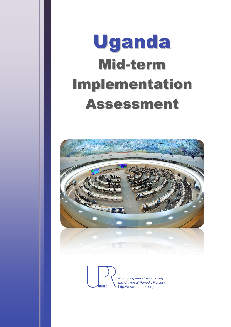# Uganda Mid-term Implementation Assessment



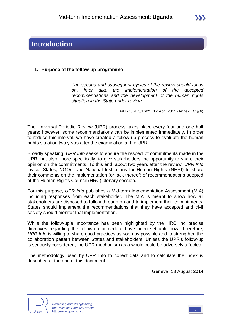## **Introduction**

#### **1. Purpose of the follow-up programme**

*The second and subsequent cycles of the review should focus on, inter alia, the implementation of the accepted recommendations and the development of the human rights situation in the State under review.*

A/HRC/RES/16/21, 12 April 2011 (Annex I C § 6)

The Universal Periodic Review (UPR) process takes place every four and one half years; however, some recommendations can be implemented immediately. In order to reduce this interval, we have created a follow-up process to evaluate the human rights situation two years after the examination at the UPR.

Broadly speaking, *UPR Info* seeks to ensure the respect of commitments made in the UPR, but also, more specifically, to give stakeholders the opportunity to share their opinion on the commitments. To this end, about two years after the review, *UPR Info* invites States, NGOs, and National Institutions for Human Rights (NHRI) to share their comments on the implementation (or lack thereof) of recommendations adopted at the Human Rights Council (HRC) plenary session.

For this purpose, *UPR Info* publishes a Mid-term Implementation Assessment (MIA) including responses from each stakeholder. The MIA is meant to show how all stakeholders are disposed to follow through on and to implement their commitments. States should implement the recommendations that they have accepted and civil society should monitor that implementation.

While the follow-up's importance has been highlighted by the HRC, no precise directives regarding the follow-up procedure have been set until now. Therefore, *UPR Info* is willing to share good practices as soon as possible and to strengthen the collaboration pattern between States and stakeholders. Unless the UPR's follow-up is seriously considered, the UPR mechanism as a whole could be adversely affected.

The methodology used by UPR Info to collect data and to calculate the index is described at the end of this document.

Geneva, 18 August 2014



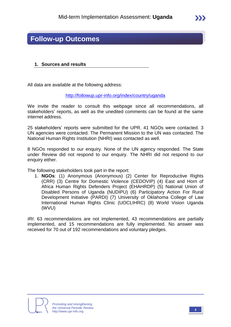## **Follow-up Outcomes**

#### **1. Sources and results**

All data are available at the following address:

<http://followup.upr-info.org/index/country/uganda>

We invite the reader to consult this webpage since all recommendations, all stakeholders' reports, as well as the unedited comments can be found at the same internet address.

25 stakeholders' reports were submitted for the UPR. 41 NGOs were contacted. 3 UN agencies were contacted. The Permanent Mission to the UN was contacted. The National Human Rights Institution (NHRI) was contacted as well.

8 NGOs responded to our enquiry. None of the UN agency responded. The State under Review did not respond to our enquiry. The NHRI did not respond to our enquiry either.

The following stakeholders took part in the report:

1. **NGOs**: (1) Anonymous (Anonymous) (2) Center for Reproductive Rights (CRR) (3) Centre for Domestic Violence (CEDOVIP) (4) East and Horn of Africa Human Rights Defenders Project (EHAHRDP) (5) National Union of Disabled Persons of Uganda (NUDIPU) (6) Participatory Action For Rural Development Initiative (PARDI) (7) University of Oklahoma College of Law International Human Rights Clinic (UOCLIHRC) (8) World Vision Uganda (WVU)

*IRI*: 63 recommendations are not implemented, 43 recommendations are partially implemented, and 15 recommendations are fully implemented. No answer was received for 70 out of 192 recommendations and voluntary pledges.

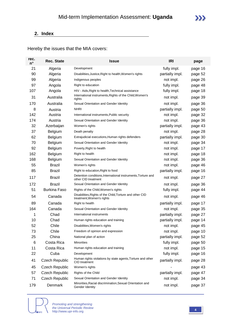#### **2. Index**

Hereby the issues that the MIA covers:

| rec.<br>$n^{\circ}$ | <b>Rec. State</b>     | <b>Issue</b>                                                                          | <b>IRI</b>      | page    |
|---------------------|-----------------------|---------------------------------------------------------------------------------------|-----------------|---------|
| 21                  | Algeria               | Development                                                                           | fully impl.     | page 16 |
| 90                  | Algeria               | Disabilities, Justice, Right to health, Women's rights                                | partially impl. | page 52 |
| 99                  | Algeria               | Indigenous peoples                                                                    | not impl.       | page 26 |
| 97                  | Angola                | Right to education                                                                    | fully impl.     | page 48 |
| 107                 | Angola                | HIV - Aids, Right to health, Technical assistance                                     | fully impl.     | page 18 |
| 31                  | Australia             | International instruments, Rights of the Child, Women's<br>rights                     | not impl.       | page 39 |
| 170                 | Australia             | Sexual Orientation and Gender Identity                                                | not impl.       | page 36 |
| 8                   | Austria               | <b>NHRI</b>                                                                           | partially impl. | page 50 |
| 142                 | Austria               | International instruments, Public security                                            | not impl.       | page 32 |
| 174                 | Austria               | Sexual Orientation and Gender Identity                                                | not impl.       | page 36 |
| 32                  | Azerbaijan            | Women's rights                                                                        | partially impl. | page 43 |
| 37                  | <b>Belgium</b>        | Death penalty                                                                         | not impl.       | page 28 |
| 62                  | <b>Belgium</b>        | Extrajudicial executions, Human rights defenders                                      | partially impl. | page 30 |
| 70                  | <b>Belgium</b>        | Sexual Orientation and Gender Identity                                                | not impl.       | page 34 |
| 92                  | <b>Belgium</b>        | Poverty, Right to health                                                              | not impl.       | page 17 |
| 162                 | <b>Belgium</b>        | Right to health                                                                       | not impl.       | page 18 |
| 168                 | Belgium               | Sexual Orientation and Gender Identity                                                | not impl.       | page 36 |
| 55                  | <b>Brazil</b>         | Women's rights                                                                        | not impl.       | page 46 |
| 85                  | <b>Brazil</b>         | Right to education, Right to food                                                     | partially impl. | page 16 |
| 117                 | <b>Brazil</b>         | Detention conditions, International instruments, Torture and<br>other CID treatment   | not impl.       | page 27 |
| 172                 | <b>Brazil</b>         | Sexual Orientation and Gender Identity                                                | not impl.       | page 36 |
| 51                  | <b>Burkina Faso</b>   | Rights of the Child, Women's rights                                                   | fully impl.     | page 44 |
| 54                  | Canada                | Disabilities, Rights of the Child, Torture and other CID<br>treatment, Women's rights | not impl.       | page 46 |
| 89                  | Canada                | Right to health                                                                       | partially impl. | page 17 |
| 164                 | Canada                | Sexual Orientation and Gender Identity                                                | not impl.       | page 35 |
| 1                   | Chad                  | International instruments                                                             | partially impl. | page 27 |
| 10                  | Chad                  | Human rights education and training                                                   | partially impl. | page 14 |
| 52                  | Chile                 | Disabilities, Women's rights                                                          | not impl.       | page 45 |
| 73                  | Chile                 | Freedom of opinion and expression                                                     | not impl.       | page 10 |
| 25                  | China                 | National plan of action                                                               | partially impl. | page 52 |
| 6                   | Costa Rica            | <b>Minorities</b>                                                                     | fully impl.     | page 50 |
| 11                  | Costa Rica            | Human rights education and training                                                   | not impl.       | page 15 |
| 22                  | Cuba                  | Development                                                                           | fully impl.     | page 16 |
| 41                  | Czech Republic        | Human rights violations by state agents, Torture and other<br>CID treatment           | partially impl. | page 28 |
| 45                  | <b>Czech Republic</b> | Women's rights                                                                        |                 | page 43 |
| 57                  | Czech Republic        | Rights of the Child                                                                   | partially impl. | page 47 |
| 71                  | Czech Republic        | Sexual Orientation and Gender Identity                                                | not impl.       | page 34 |
| 179                 | Denmark               | Minorities, Racial discrimination, Sexual Orientation and<br>Gender Identity          | not impl.       | page 37 |

**IINFO** 

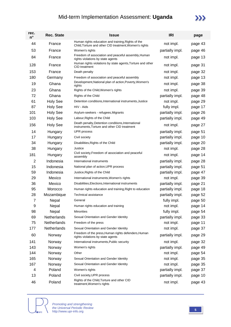# Mid-term Implementation Assessment: **Uganda**



| rec.<br>$n^{\circ}$ | <b>Rec. State</b> | <b>Issue</b>                                                                                                 | <b>IRI</b>      | page    |
|---------------------|-------------------|--------------------------------------------------------------------------------------------------------------|-----------------|---------|
| 44                  | France            | Human rights education and training, Rights of the<br>Child, Torture and other CID treatment, Women's rights | not impl.       | page 43 |
| 53                  | France            | Women's rights                                                                                               | partially impl. | page 46 |
| 84                  | France            | Freedom of association and peaceful assembly, Human<br>rights violations by state agents                     | not impl.       | page 13 |
| 128                 | France            | Human rights violations by state agents, Torture and other<br>CID treatment                                  | not impl.       | page 31 |
| 153                 | France            | Death penalty                                                                                                | not impl.       | page 32 |
| 180                 | Germany           | Freedom of association and peaceful assembly                                                                 | not impl.       | page 13 |
| 19                  | Ghana             | Development, National plan of action, Poverty, Women's<br>rights                                             | not impl.       | page 38 |
| 23                  | Ghana             | Rights of the Child, Women's rights                                                                          | not impl.       | page 39 |
| 72                  | Ghana             | Rights of the Child                                                                                          | partially impl. | page 48 |
| 61                  | <b>Holy See</b>   | Detention conditions, International instruments, Justice                                                     | not impl.       | page 29 |
| 87                  | <b>Holy See</b>   | HIV - Aids                                                                                                   | fully impl.     | page 17 |
| 101                 | <b>Holy See</b>   | Asylum-seekers - refugees, Migrants                                                                          | partially impl. | page 26 |
| 103                 | <b>Holy See</b>   | Labour, Rights of the Child                                                                                  | partially impl. | page 49 |
| 156                 | <b>Holy See</b>   | Death penalty, Detention conditions, International<br>instruments, Torture and other CID treatment           | not impl.       | page 27 |
| 14                  | Hungary           | UPR process                                                                                                  | partially impl. | page 51 |
| 17                  | Hungary           | Civil society                                                                                                | partially impl. | page 10 |
| 34                  | Hungary           | Disabilities, Rights of the Child                                                                            | partially impl. | page 20 |
| 38                  | Hungary           | Justice                                                                                                      | not impl.       | page 28 |
| 181                 | Hungary           | Civil society, Freedom of association and peaceful<br>assembly                                               | not impl.       | page 14 |
| $\overline{2}$      | Indonesia         | International instruments                                                                                    | partially impl. | page 28 |
| 15                  | Indonesia         | National plan of action, UPR process                                                                         | partially impl. | page 51 |
| 59                  | Indonesia         | Justice, Rights of the Child                                                                                 | partially impl. | page 47 |
| 29                  | Mexico            | International instruments, Women's rights                                                                    | not impl.       | page 39 |
| 36                  | Mexico            | Disabilities, Elections, International instruments                                                           | partially impl. | page 21 |
| 95                  | Morocco           | Human rights education and training, Right to education                                                      | partially impl. | page 18 |
| 28                  | Mozambique        | <b>Technical assistance</b>                                                                                  | partially impl. | page 52 |
| 7                   | Nepal             | General                                                                                                      | fully impl.     | page 50 |
| 9                   | Nepal             | Human rights education and training                                                                          | not impl.       | page 14 |
| 98                  | Nepal             | <b>Minorities</b>                                                                                            | fully impl.     | page 54 |
| 69                  | Netherlands       | Sexual Orientation and Gender Identity                                                                       | partially impl. | page 33 |
| 75                  | Netherlands       | Freedom of the press                                                                                         | not impl.       | page 11 |
| 177                 | Netherlands       | Sexual Orientation and Gender Identity                                                                       | not impl.       | page 37 |
| 60                  | Norway            | Freedom of the press, Human rights defenders, Human<br>rights violations by state agents                     | partially impl. | page 29 |
| 141                 | Norway            | International instruments, Public security                                                                   | not impl.       | page 32 |
| 143                 | Norway            | Women's rights                                                                                               | partially impl. | page 49 |
| 144                 | Norway            | Other                                                                                                        | not impl.       | page 54 |
| 165                 | Norway            | Sexual Orientation and Gender Identity                                                                       | not impl.       | page 35 |
| 167                 | Norway            | Sexual Orientation and Gender Identity                                                                       | not impl.       | page 35 |
| 4                   | Poland            | Women's rights                                                                                               | partially impl. | page 37 |
| 13                  | Poland            | Civil society, UPR process                                                                                   | partially impl. | page 10 |
| 46                  | Poland            | Rights of the Child, Torture and other CID<br>treatment, Women's rights                                      | not impl.       | page 43 |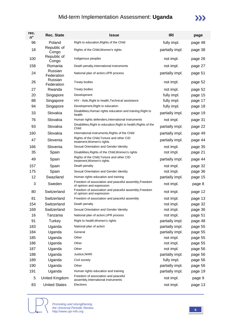## Mid-term Implementation Assessment: **Uganda**

# $\sum$

| rec.<br>$n^{\circ}$ | <b>Rec. State</b>     | <b>Issue</b>                                                                       | <b>IRI</b>      | page    |
|---------------------|-----------------------|------------------------------------------------------------------------------------|-----------------|---------|
| 96                  | Poland                | Right to education, Rights of the Child                                            | fully impl.     | page 48 |
| 18                  | Republic of<br>Congo  | Rights of the Child, Women's rights                                                | partially impl. | page 38 |
| 100                 | Republic of<br>Congo  | Indigenous peoples                                                                 | not impl.       | page 26 |
| 158                 | Romania               | Death penalty, International instruments                                           | not impl.       | page 27 |
| 24                  | Russian<br>Federation | National plan of action, UPR process                                               | partially impl. | page 51 |
| 26                  | Russian<br>Federation | <b>Treaty bodies</b>                                                               | not impl.       | page 52 |
| 27                  | Rwanda                | <b>Treaty bodies</b>                                                               | not impl.       | page 52 |
| 20                  | Singapore             | Development                                                                        | fully impl.     | page 15 |
| 88                  | Singapore             | HIV - Aids, Right to health, Technical assistance                                  | fully impl.     | page 17 |
| 94                  | Singapore             | Development, Right to education                                                    | fully impl.     | page 18 |
| 33                  | Slovakia              | Disabilities, Human rights education and training, Right to<br>health              | partially impl. | page 19 |
| 76                  | Slovakia              | Human rights defenders, International instruments                                  | not impl.       | page 31 |
| 93                  | Slovakia              | Disabilities, Right to education, Right to health, Rights of the<br>Child          | partially impl. | page 22 |
| 160                 | Slovakia              | International instruments, Rights of the Child                                     | partially impl. | page 49 |
| 47                  | Slovenia              | Rights of the Child, Torture and other CID<br>treatment, Women's rights            | partially impl. | page 44 |
| 166                 | Slovenia              | Sexual Orientation and Gender Identity                                             | not impl.       | page 35 |
| 35                  | Spain                 | Disabilities, Rights of the Child, Women's rights                                  | not impl.       | page 21 |
| 49                  | Spain                 | Rights of the Child, Torture and other CID<br>treatment, Women's rights            | partially impl. | page 44 |
| 157                 | Spain                 | Death penalty                                                                      | not impl.       | page 32 |
| 175                 | Spain                 | Sexual Orientation and Gender Identity                                             | not impl.       | page 36 |
| 12                  | Swaziland             | Human rights education and training                                                | partially impl. | page 15 |
| 3                   | Sweden                | Freedom of association and peaceful assembly, Freedom<br>of opinion and expression | not impl.       | page 8  |
| 80                  | Switzerland           | Freedom of association and peaceful assembly, Freedom<br>of opinion and expression | not impl.       | page 12 |
| 81                  | Switzerland           | Freedom of association and peaceful assembly                                       | not impl.       | page 13 |
| 154                 | Switzerland           | Death penalty                                                                      | not impl.       | page 32 |
| 169                 | Switzerland           | Sexual Orientation and Gender Identity                                             | not impl.       | page 36 |
| 16                  | Tanzania              | National plan of action, UPR process                                               | not impl.       | page 51 |
| 91                  | Turkey                | Right to health, Women's rights                                                    | partially impl. | page 48 |
| 183                 | Uganda                | National plan of action                                                            | partially impl. | page 55 |
| 184                 | Uganda                | General                                                                            | partially impl. | page 55 |
| 185                 | Uganda                | Other                                                                              | not impl.       | page 55 |
| 186                 | Uganda                | Other                                                                              | not impl.       | page 55 |
| 187                 | Uganda                | Other                                                                              | not impl.       | page 56 |
| 188                 | Uganda                | Justice, NHRI                                                                      | partially impl. | page 56 |
| 189                 | Uganda                | Civil society                                                                      | fully impl.     | page 56 |
| 190                 | Uganda                | Other                                                                              | partially impl. | page 56 |
| 191                 | Uganda                | Human rights education and training                                                | partially impl. | page 19 |
| 5                   | United Kingdom        | Freedom of association and peaceful<br>assembly, International instruments         | not impl.       | page 9  |
| 83                  | <b>United States</b>  | Elections                                                                          | not impl.       | page 13 |

**NINFO**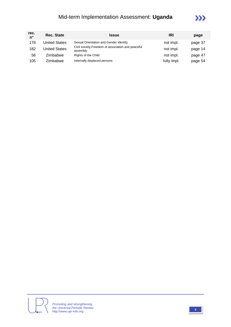# Mid-term Implementation Assessment: **Uganda**



| rec.<br>$n^{\circ}$ | <b>Rec. State</b>    | <b>Issue</b>                                                   | IRI         | page    |
|---------------------|----------------------|----------------------------------------------------------------|-------------|---------|
| 178                 | United States        | Sexual Orientation and Gender Identity                         | not impl.   | page 37 |
| 182                 | <b>Jnited States</b> | Civil society, Freedom of association and peaceful<br>assembly | not impl.   | page 14 |
| 56                  | Zimbabwe             | Rights of the Child                                            | not impl.   | page 47 |
| 105                 | Zimbabwe             | Internally displaced persons                                   | fully impl. | page 54 |



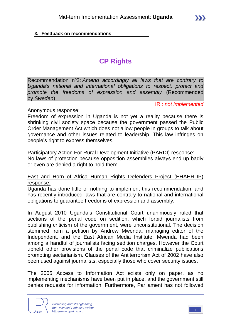#### **3. Feedback on recommendations**

# **CP Rights**

Recommendation nº3: *Amend accordingly all laws that are contrary to Uganda's national and international obligations to respect, protect and promote the freedoms of expression and assembly* (Recommended by *Sweden*)

IRI: *not implemented*

#### Anonymous response:

Freedom of expression in Uganda is not yet a reality because there is shrinking civil society space because the government passed the Public Order Management Act which does not allow people in groups to talk about governance and other issues related to leadership. This law infringes on people's right to express themselves.

#### Participatory Action For Rural Development Initiative (PARDI) response:

No laws of protection because opposition assemblies always end up badly or even are denied a right to hold them.

#### East and Horn of Africa Human Rights Defenders Project (EHAHRDP) response:

Uganda has done little or nothing to implement this recommendation, and has recently introduced laws that are contrary to national and international obligations to guarantee freedoms of expression and assembly.

In August 2010 Uganda's Constitutional Court unanimously ruled that sections of the penal code on sedition, which forbid journalists from publishing criticism of the government, were unconstitutional. The decision stemmed from a petition by Andrew Mwenda, managing editor of the Independent, and the East African Media Institute; Mwenda had been among a handful of journalists facing sedition charges. However the Court upheld other provisions of the penal code that criminalize publications promoting sectarianism. Clauses of the Antiterrorism Act of 2002 have also been used against journalists, especially those who cover security issues.

The 2005 Access to Information Act exists only on paper, as no implementing mechanisms have been put in place, and the government still denies requests for information. Furthermore, Parliament has not followed

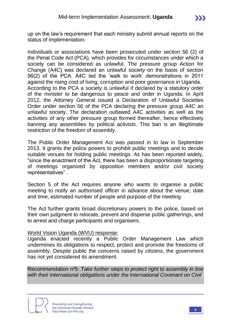up on the law's requirement that each ministry submit annual reports on the status of implementation.

Individuals or associations have been prosecuted under section 56 (2) of the Penal Code Act (PCA), which provides for circumstances under which a society can be considered as unlawful. The pressure group Action for Change (A4C) was declared an unlawful society on the basis of section 56(2) of the PCA. A4C led the 'walk to work' demonstrations in 2011 against the rising cost of living, corruption and poor governance in Uganda. According to the PCA a society is unlawful if declared by a statutory order of the minister to be dangerous to peace and order in Uganda. In April 2012, the Attorney General issued a Declaration of Unlawful Societies Order under section 56 of the PCA declaring the pressure group A4C an unlawful society. The declaration outlawed A4C activities as well as the activities of any other pressure group formed thereafter, hence effectively banning any assemblies by political activists. This ban is an illegitimate restriction of the freedom of assembly.

The Public Order Management Act was passed in to law in September 2013. It grants the police powers to prohibit public meetings and to decide suitable venues for holding public meetings. As has been reported widely, "since the enactment of the Act, there has been a disproportionate targeting of meetings organized by opposition members and/or civil society representatives" .

Section 5 of the Act requires anyone who wants to organise a public meeting to notify an authorised officer in advance about the venue, date and time, estimated number of people and purpose of the meeting.

The Act further grants broad discretionary powers to the police, based on their own judgment to relocate, prevent and disperse public gatherings, and to arrest and charge participants and organisers.

#### World Vision Uganda (WVU) response:

Uganda enacted recently a Public Order Management Law which undermines its obligations to respect, protect and promote the freedoms of assembly. Despite public the concerns raised by citizens, the government has not yet considered its amendment.

Recommendation nº5: *Take further steps to protect right to assembly in line with their international obligations under the International Covenant on Civil* 

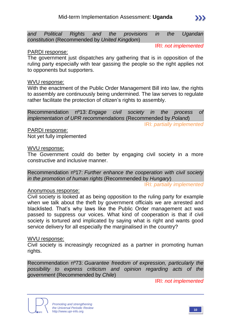*and Political Rights and the provisions in the Ugandan constitution* (Recommended by *United Kingdom*)

IRI: *not implemented*

 $\sum$ 

#### PARDI response:

The government just dispatches any gathering that is in opposition of the ruling party especially with tear gassing the people so the right applies not to opponents but supporters.

#### WVU response:

With the enactment of the Public Order Management Bill into law, the rights to assembly are continuously being undermined. The law serves to regulate rather facilitate the protection of citizen's rights to assembly.

Recommendation nº13: *Engage civil society in the process of implementation of UPR recommendations* (Recommended by *Poland*)

IRI: *partially implemented*

PARDI response:

Not yet fully implemented

#### WVU response:

The Government could do better by engaging civil society in a more constructive and inclusive manner.

Recommendation nº17: *Further enhance the cooperation with civil society in the promotion of human rights* (Recommended by *Hungary*)

IRI: *partially implemented*

#### Anonymous response:

Civil society is looked at as being opposition to the ruling party for example when we talk about the theft by government officials we are arrested and blacklisted. That's why laws like the Public Order management act was passed to suppress our voices. What kind of cooperation is that if civil society is tortured and implicated by saying what is right and wants good service delivery for all especially the marginalised in the country?

#### WVU response:

Civil society is increasingly recognized as a partner in promoting human rights.

Recommendation nº73: *Guarantee freedom of expression, particularly the possibility to express criticism and opinion regarding acts of the government* (Recommended by *Chile*)

IRI: *not implemented*



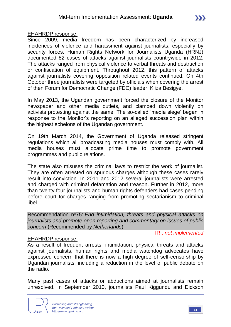#### EHAHRDP response:

Since 2009, media freedom has been characterized by increased incidences of violence and harassment against journalists, especially by security forces. Human Rights Network for Journalists Uganda (HRNJ) documented 82 cases of attacks against journalists countrywide in 2012. The attacks ranged from physical violence to verbal threats and destruction or confiscation of equipment. Throughout 2012, this pattern of attacks against journalists covering opposition related events continued. On 4th October three journalists were targeted by officials when covering the arrest of then Forum for Democratic Change (FDC) leader, Kiiza Besigye.

In May 2013, the Ugandan government forced the closure of the Monitor newspaper and other media outlets, and clamped down violently on activists protesting against the same. The so-called 'media siege' began in response to the Monitor's reporting on an alleged succession plan within the highest echelons of the Ugandan government.

On 19th March 2014, the Government of Uganda released stringent regulations which all broadcasting media houses must comply with. All media houses must allocate prime time to promote government programmes and public relations.

The state also misuses the criminal laws to restrict the work of journalist. They are often arrested on spurious charges although these cases rarely result into conviction. In 2011 and 2012 several journalists were arrested and charged with criminal defamation and treason. Further in 2012, more than twenty four journalists and human rights defenders had cases pending before court for charges ranging from promoting sectarianism to criminal libel.

Recommendation nº75: *End intimidation, threats and physical attacks on journalists and promote open reporting and commentary on issues of public concern* (Recommended by *Netherlands*)

IRI: *not implemented*

#### EHAHRDP response:

As a result of frequent arrests, intimidation, physical threats and attacks against journalists, human rights and media watchdog advocates have expressed concern that there is now a high degree of self-censorship by Ugandan journalists, including a reduction in the level of public debate on the radio.

Many past cases of attacks or abductions aimed at journalists remain unresolved. In September 2010, journalists Paul Kiggundu and Dickson

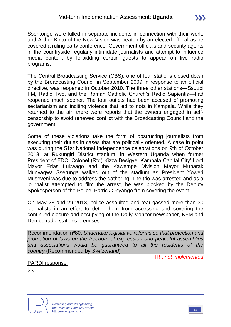Ssentongo were killed in separate incidents in connection with their work, and Arthur Kintu of the New Vision was beaten by an elected official as he covered a ruling party conference. Government officials and security agents in the countryside regularly intimidate journalists and attempt to influence media content by forbidding certain guests to appear on live radio programs.

The Central Broadcasting Service (CBS), one of four stations closed down by the Broadcasting Council in September 2009 in response to an official directive, was reopened in October 2010. The three other stations—Ssuubi FM, Radio Two, and the Roman Catholic Church's Radio Sapientia—had reopened much sooner. The four outlets had been accused of promoting sectarianism and inciting violence that led to riots in Kampala. While they returned to the air, there were reports that the owners engaged in selfcensorship to avoid renewed conflict with the Broadcasting Council and the government.

Some of these violations take the form of obstructing journalists from executing their duties in cases that are politically oriented. A case in point was during the 51st National Independence celebrations on 9th of October 2013, at Rukungiri District stadium, in Western Uganda when former President of FDC, Colonel (Rtd) Kizza Besigye, Kampala Capital City' Lord Mayor Erias Lukwago and the Kawempe Division Mayor Mubarak Munyagwa Sserunga walked out of the stadium as President Yoweri Museveni was due to address the gathering. The trio was arrested and as a journalist attempted to film the arrest, he was blocked by the Deputy Spokesperson of the Police, Patrick Onyango from covering the event.

On May 28 and 29 2013, police assaulted and tear-gassed more than 30 journalists in an effort to deter them from accessing and covering the continued closure and occupying of the Daily Monitor newspaper, KFM and Dembe radio stations premises.

Recommendation nº80: *Undertake legislative reforms so that protection and promotion of laws on the freedom of expression and peaceful assemblies and associations would be guaranteed to all the residents of the country* (Recommended by *Switzerland*)

IRI: *not implemented*

PARDI response:

[...]

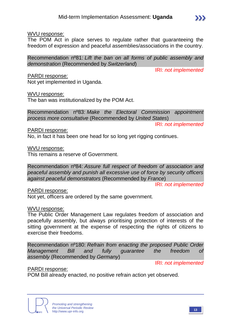#### WVU response:

The POM Act in place serves to regulate rather that guaranteeing the freedom of expression and peaceful assemblies/associations in the country.

Recommendation nº81: *Lift the ban on all forms of public assembly and demonstration* (Recommended by *Switzerland*)

IRI: *not implemented*

 $\sum$ 

#### PARDI response:

Not yet implemented in Uganda.

#### WVU response:

The ban was institutionalized by the POM Act.

Recommendation nº83: *Make the Electoral Commission appointment process more consultative* (Recommended by *United States*)

IRI: *not implemented*

#### PARDI response:

No, in fact it has been one head for so long yet rigging continues.

WVU response:

This remains a reserve of Government.

Recommendation nº84: *Assure full respect of freedom of association and peaceful assembly and punish all excessive use of force by security officers against peaceful demonstrators* (Recommended by *France*)

IRI: *not implemented*

#### PARDI response:

Not yet, officers are ordered by the same government.

#### WVU response:

The Public Order Management Law regulates freedom of association and peacefully assembly, but always prioritising protection of interests of the sitting government at the expense of respecting the rights of citizens to exercise their freedoms.

Recommendation nº180: *Refrain from enacting the proposed Public Order Management Bill and fully guarantee the freedom of assembly* (Recommended by *Germany*)

IRI: *not implemented*

#### PARDI response:

POM Bill already enacted, no positive refrain action yet observed.

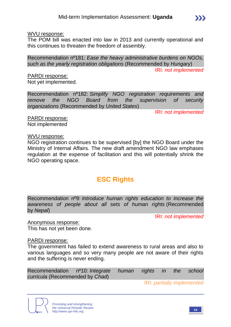#### WVU response:

The POM bill was enacted into law in 2013 and currently operational and this continues to threaten the freedom of assembly.

Recommendation nº181: *Ease the heavy administrative burdens on NGOs, such as the yearly registration obligations* (Recommended by *Hungary*)

IRI: *not implemented*

PARDI response: Not yet implemented.

Recommendation nº182: *Simplify NGO registration requirements and remove the NGO Board from the supervision of security organizations* (Recommended by *United States*)

IRI: *not implemented*

PARDI response: Not implemented

#### WVU response:

NGO registration continues to be supervised [by] the NGO Board under the Ministry of Internal Affairs. The new draft amendment NGO law emphases regulation at the expense of facilitation and this will potentially shrink the NGO operating space.

# **ESC Rights**

Recommendation nº9: *Introduce human rights education to increase the awareness of people about all sets of human rights* (Recommended by *Nepal*)

IRI: *not implemented*

Anonymous response: This has not yet been done.

#### PARDI response:

The government has failed to extend awareness to rural areas and also to various languages and so very many people are not aware of their rights and the suffering is never ending.

Recommendation nº10: *Integrate human rights in the school curricula* (Recommended by *Chad*)

IRI: *partially implemented*



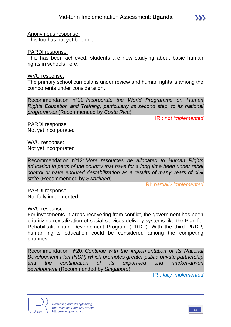Anonymous response: This too has not yet been done.

#### PARDI response:

This has been achieved, students are now studying about basic human rights in schools here.

#### WVU response:

The primary school curricula is under review and human rights is among the components under consideration.

Recommendation nº11: *Incorporate the World Programme on Human Rights Education and Training, particularly its second step, to its national programmes* (Recommended by *Costa Rica*)

IRI: *not implemented*

PARDI response: Not yet incorporated

WVU response: Not yet incorporated

Recommendation nº12: *More resources be allocated to Human Rights education in parts of the country that have for a long time been under rebel control or have endured destabilization as a results of many years of civil strife* (Recommended by *Swaziland*)

IRI: *partially implemented*

PARDI response: Not fully implemented

#### WVU response:

For investments in areas recovering from conflict, the government has been prioritizing revitalization of social services delivery systems like the Plan for Rehabilitation and Development Program (PRDP). With the third PRDP, human rights education could be considered among the competing priorities.

Recommendation nº20: *Continue with the implementation of its National Development Plan (NDP) which promotes greater public-private partnership and the continuation of its export-led and market-driven development* (Recommended by *Singapore*)

IRI: *fully implemented*



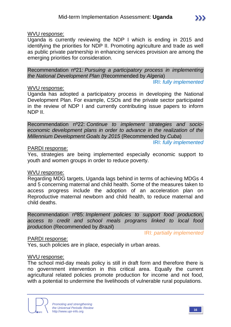#### WVU response:

Uganda is currently reviewing the NDP I which is ending in 2015 and identifying the priorities for NDP II. Promoting agriculture and trade as well as public private partnership in enhancing services provision are among the emerging priorities for consideration.

Recommendation nº21: *Pursuing a participatory process in implementing the National Development Plan* (Recommended by *Algeria*)

IRI: *fully implemented*

 $\sum$ 

#### WVU response:

Uganda has adopted a participatory process in developing the National Development Plan. For example, CSOs and the private sector participated in the review of NDP I and currently contributing issue papers to inform NDP II.

Recommendation nº22: *Continue to implement strategies and socioeconomic development plans in order to advance in the realization of the Millennium Development Goals by 2015* (Recommended by *Cuba*)

IRI: *fully implemented*

#### PARDI response:

Yes, strategies are being implemented especially economic support to youth and women groups in order to reduce poverty.

#### WVU response:

Regarding MDG targets, Uganda lags behind in terms of achieving MDGs 4 and 5 concerning maternal and child health. Some of the measures taken to access progress include the adoption of an acceleration plan on Reproductive maternal newborn and child health, to reduce maternal and child deaths.

Recommendation nº85: *Implement policies to support food production, access to credit and school meals programs linked to local food production* (Recommended by *Brazil*)

IRI: *partially implemented*

#### PARDI response:

Yes, such policies are in place, especially in urban areas.

#### WVU response:

The school mid-day meals policy is still in draft form and therefore there is no government intervention in this critical area. Equally the current agricultural related policies promote production for income and not food, with a potential to undermine the livelihoods of vulnerable rural populations.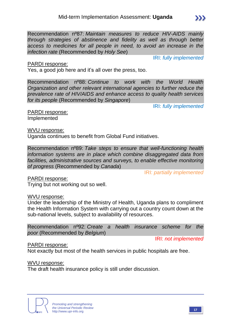Recommendation nº87: *Maintain measures to reduce HIV-AIDS mainly through strategies of abstinence and fidelity as well as through better access to medicines for all people in need, to avoid an increase in the infection rate* (Recommended by *Holy See*)

IRI: *fully implemented*

 $\sum$ 

#### PARDI response:

Yes, a good job here and it's all over the press, too.

Recommendation nº88: *Continue to work with the World Health Organization and other relevant international agencies to further reduce the prevalence rate of HIV/AIDS and enhance access to quality health services for its people* (Recommended by *Singapore*)

IRI: *fully implemented*

PARDI response: Implemented

#### WVU response:

Uganda continues to benefit from Global Fund initiatives.

Recommendation nº89: *Take steps to ensure that well-functioning health information systems are in place which combine disaggregated data from facilities, administrative sources and surveys, to enable effective monitoring of progress* (Recommended by *Canada*)

IRI: *partially implemented*

PARDI response:

Trying but not working out so well.

#### WVU response:

Under the leadership of the Ministry of Health, Uganda plans to compliment the Health Information System with carrying out a country count down at the sub-national levels, subject to availability of resources.

Recommendation nº92: *Create a health insurance scheme for the poor* (Recommended by *Belgium*)

IRI: *not implemented*

#### PARDI response:

Not exactly but most of the health services in public hospitals are free.

WVU response:

The draft health insurance policy is still under discussion.



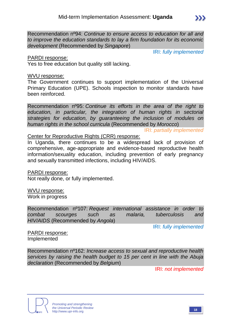Recommendation nº94: *Continue to ensure access to education for all and to improve the education standards to lay a firm foundation for its economic development* (Recommended by *Singapore*)

IRI: *fully implemented*

 $\sum$ 

#### PARDI response:

Yes to free education but quality still lacking.

#### WVU response:

The Government continues to support implementation of the Universal Primary Education (UPE). Schools inspection to monitor standards have been reinforced.

Recommendation nº95: *Continue its efforts in the area of the right to education, in particular, the integration of human rights in sectorial strategies for education, by guaranteeing the inclusion of modules on human rights in the school curricula* (Recommended by *Morocco*)

IRI: *partially implemented*

Center for Reproductive Rights (CRR) response:

In Uganda, there continues to be a widespread lack of provision of comprehensive, age-appropriate and evidence-based reproductive health information/sexuality education, including prevention of early pregnancy and sexually transmitted infections, including HIV/AIDS.

PARDI response: Not really done, or fully implemented.

WVU response: Work in progress

Recommendation nº107: *Request international assistance in order to combat scourges such as malaria, tuberculosis and HIV/AIDS* (Recommended by *Angola*)

IRI: *fully implemented*

PARDI response: Implemented

Recommendation nº162: *Increase access to sexual and reproductive health services by raising the health budget to 15 per cent in line with the Abuja declaration* (Recommended by *Belgium*)

IRI: *not implemented*

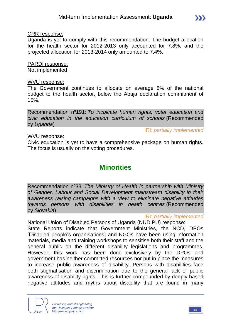Uganda is yet to comply with this recommendation. The budget allocation for the health sector for 2012-2013 only accounted for 7.8%, and the projected allocation for 2013-2014 only amounted to 7.4%.

## PARDI response:

Not implemented

#### WVU response:

The Government continues to allocate on average 8% of the national budget to the health sector, below the Abuja declaration commitment of 15%.

Recommendation nº191: *To inculcate human rights, voter education and civic education in the education curriculum of schools* (Recommended by *Uganda*)

#### WVU response:

IRI: *partially implemented*

 $\sum$ 

Civic education is yet to have a comprehensive package on human rights. The focus is usually on the voting procedures.

# **Minorities**

Recommendation nº33: *The Ministry of Health in partnership with Ministry of Gender, Labour and Social Development mainstream disability in their awareness raising campaigns with a view to eliminate negative attitudes towards persons with disabilities in health centres* (Recommended by *Slovakia*)

IRI: *partially implemented*

National Union of Disabled Persons of Uganda (NUDIPU) response:

State Reports indicate that Government Ministries, the NCD, DPOs [Disabled people's organisations] and NGOs have been using information materials, media and training workshops to sensitise both their staff and the general public on the different disability legislations and programmes. However, this work has been done exclusively by the DPOs and government has neither committed resources nor put in place the measures to increase public awareness of disability. Persons with disabilities face both stigmatisation and discrimination due to the general lack of public awareness of disability rights. This is further compounded by deeply based negative attitudes and myths about disability that are found in many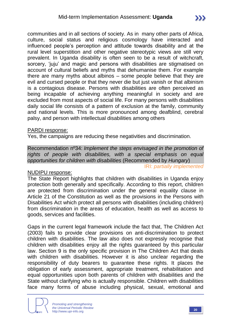communities and in all sections of society. As in many other parts of Africa, culture, social status and religious cosmology have interacted and influenced people's perception and attitude towards disability and at the rural level superstition and other negative stereotypic views are still very prevalent. In Uganda disability is often seen to be a result of witchcraft, sorcery, 'juju' and magic and persons with disabilities are stigmatised on account of cultural beliefs and myths that dehumanise them. For example there are many myths about albinos – some people believe that they are evil and cursed people or that they never die but just vanish or that albinism is a contagious disease. Persons with disabilities are often perceived as being incapable of achieving anything meaningful in society and are excluded from most aspects of social life. For many persons with disabilities daily social life consists of a pattern of exclusion at the family, community and national levels. This is more pronounced among deafblind, cerebral palsy, and person with intellectual disabilities among others

#### PARDI response:

Yes, the campaigns are reducing these negativities and discrimination.

Recommendation nº34: *Implement the steps envisaged in the promotion of rights of people with disabilities, with a special emphasis on equal opportunities for children with disabilities* (Recommended by *Hungary*) IRI: *partially implemented*

#### NUDIPU response:

The State Report highlights that children with disabilities in Uganda enjoy protection both generally and specifically. According to this report, children are protected from discrimination under the general equality clause in Article 21 of the Constitution as well as the provisions in the Persons with Disabilities Act which protect all persons with disabilities (including children) from discrimination in the areas of education, health as well as access to goods, services and facilities.

Gaps in the current legal framework include the fact that, The Children Act (2003) fails to provide clear provisions on anti-discrimination to protect children with disabilities. The law also does not expressly recognise that children with disabilities enjoy all the rights guaranteed by this particular law. Section 9 is the only specific provision in The Children Act that deals with children with disabilities. However it is also unclear regarding the responsibility of duty bearers to guarantee these rights. It places the obligation of early assessment, appropriate treatment, rehabilitation and equal opportunities upon both parents of children with disabilities and the State without clarifying who is actually responsible. Children with disabilities face many forms of abuse including physical, sexual, emotional and

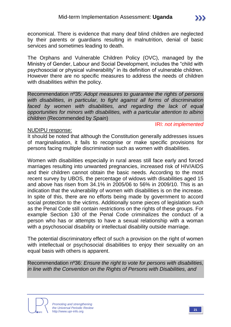economical. There is evidence that many deaf blind children are neglected by their parents or guardians resulting in malnutrition, denial of basic services and sometimes leading to death.

The Orphans and Vulnerable Children Policy (OVC), managed by the Ministry of Gender, Labour and Social Development, includes the "child with psychosocial or physical vulnerability" in its definition of vulnerable children. However there are no specific measures to address the needs of children with disabilities within the policy.

Recommendation nº35: *Adopt measures to guarantee the rights of persons with disabilities, in particular, to fight against all forms of discrimination*  faced by women with disabilities, and regarding the lack of equal *opportunities for minors with disabilities, with a particular attention to albino children* (Recommended by *Spain*)

IRI: *not implemented*

#### NUDIPU response:

It should be noted that although the Constitution generally addresses issues of marginalisation, it fails to recognise or make specific provisions for persons facing multiple discrimination such as women with disabilities.

Women with disabilities especially in rural areas still face early and forced marriages resulting into unwanted pregnancies, increased risk of HIV/AIDS and their children cannot obtain the basic needs. According to the most recent survey by UBOS, the percentage of widows with disabilities aged 15 and above has risen from 34.1% in 2005/06 to 56% in 2009/10. This is an indication that the vulnerability of women with disabilities is on the increase. In spite of this, there are no efforts being made by government to accord social protection to the victims. Additionally some pieces of legislation such as the Penal Code still contain restrictions on the rights of these groups. For example Section 130 of the Penal Code criminalizes the conduct of a person who has or attempts to have a sexual relationship with a woman with a psychosocial disability or intellectual disability outside marriage.

The potential discriminatory effect of such a provision on the right of women with intellectual or psychosocial disabilities to enjoy their sexuality on an equal basis with others is apparent.

Recommendation nº36: *Ensure the right to vote for persons with disabilities, in line with the Convention on the Rights of Persons with Disabilities, and* 

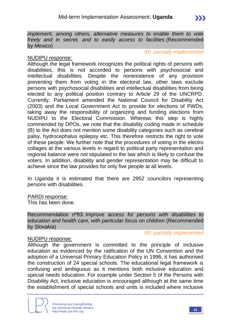#### IRI: *partially implemented*

#### NUDIPU response:

Although the legal framework recognizes the political rights of persons with disabilities, this is not accorded to persons with psychosocial and intellectual disabilities. Despite the nonexistence of any provision preventing them from voting in the electoral law, other laws exclude persons with psychosocial disabilities and intellectual disabilities from being elected to any political position contrary to Article 29 of the UNCRPD. Currently, Parliament amended the National Council for Disability Act (2003) and the Local Government Act to provide for elections of PWDs; taking away the responsibility of organizing and funding elections from NUDIPU to the Electoral Commission. Whereas this step is highly commended by DPOs, we note that the disability coding made in schedule (B) to the Act does not mention some disability categories such as cerebral palsy, hydrocephalus epilepsy etc. This therefore restricts the right to vote of these people. We further note that the procedures of voting in the electro collages at the various levels in regard to political party representation and regional balance were not stipulated in the law which is likely to confuse the voters. In addition, disability and gender representation may be difficult to achieve since the law provides for only five people at all levels.

In Uganda it is estimated that there are 2952 councilors representing persons with disabilities.

#### PARDI response:

This has been done.

Recommendation nº93: *Improve access for persons with disabilities to education and health care, with particular focus on children* (Recommended by *Slovakia*)

#### IRI: *partially implemented*

#### NUDIPU response:

Although the government is committed to the principle of inclusive education as evidenced by the ratification of the UN Convention and the adoption of a Universal Primary Education Policy in 1996, it has authorised the construction of 24 special schools. The educational legal framework is confusing and ambiguous as it mentions both inclusive education and special needs education. For example under Section 5 of the Persons with Disability Act, inclusive education is encouraged although at the same time the establishment of special schools and units is included where inclusive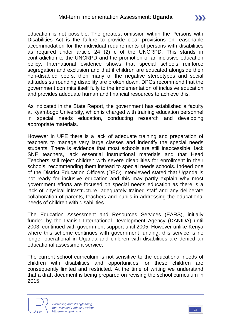education is not possible. The greatest omission within the Persons with Disabilities Act is the failure to provide clear provisions on reasonable accommodation for the individual requirements of persons with disabilities as required under article 24 (2) c of the UNCRPD. This stands in contradiction to the UNCRPD and the promotion of an inclusive education policy. International evidence shows that special schools reinforce segregation and exclusion and that if children are educated alongside their non-disabled peers, then many of the negative stereotypes and social attitudes surrounding disability are broken down. DPOs recommend that the government commits itself fully to the implementation of inclusive education and provides adequate human and financial resources to achieve this.

As indicated in the State Report, the government has established a faculty at Kyambogo University, which is charged with training education personnel in special needs education, conducting research and developing appropriate materials.

However in UPE there is a lack of adequate training and preparation of teachers to manage very large classes and indentify the special needs students. There is evidence that most schools are still inaccessible, lack SNE teachers, lack essential instructional materials and that Head Teachers still reject children with severe disabilities for enrollment in their schools, recommending them instead to special needs schools. Indeed one of the District Education Officers (DEO) interviewed stated that Uganda is not ready for inclusive education and this may partly explain why most government efforts are focused on special needs education as there is a lack of physical infrastructure, adequately trained staff and any deliberate collaboration of parents, teachers and pupils in addressing the educational needs of children with disabilities.

The Education Assessment and Resources Services (EARS), initially funded by the Danish International Development Agency (DANIDA) until 2003, continued with government support until 2005. However unlike Kenya where this scheme continues with government funding, this service is no longer operational in Uganda and children with disabilities are denied an educational assessment service.

The current school curriculum is not sensitive to the educational needs of children with disabilities and opportunities for these children are consequently limited and restricted. At the time of writing we understand that a draft document is being prepared on revising the school curriculum in 2015.



 $\sum$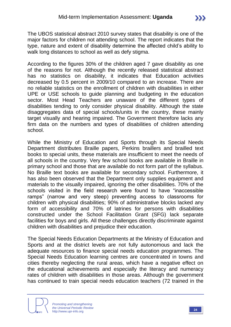The UBOS statistical abstract 2010 survey states that disability is one of the major factors for children not attending school. The report indicates that the type, nature and extent of disability determine the affected child's ability to walk long distances to school as well as defy stigma.

According to the figures 30% of the children aged 7 gave disability as one of the reasons for not. Although the recently released statistical abstract has no statistics on disability, it indicates that Education activities decreased by 0.5 percent in 2009/10 compared to an increase. There are no reliable statistics on the enrollment of children with disabilities in either UPE or USE schools to guide planning and budgeting in the education sector. Most Head Teachers are unaware of the different types of disabilities tending to only consider physical disability. Although the state disaggregates data of special schools/units in the country, these mainly target visually and hearing impaired. The Government therefore lacks any firm data on the numbers and types of disabilities of children attending school.

While the Ministry of Education and Sports through its Special Needs Department distributes Braille papers, Perkins braillers and brailled text books to special units, these materials are insufficient to meet the needs of all schools in the country. Very few school books are available in Braille in primary school and those that are available do not form part of the syllabus. No Braille text books are available for secondary school. Furthermore, it has also been observed that the Department only supplies equipment and materials to the visually impaired, ignoring the other disabilities. 70% of the schools visited in the field research were found to have "inaccessible ramps" (narrow and very steep) preventing access to classrooms for children with physical disabilities; 90% of administrative blocks lacked any form of accessibility and 70% of latrines for persons with disabilities constructed under the School Facilitation Grant (SFG) lack separate facilities for boys and girls. All these challenges directly discriminate against children with disabilities and prejudice their education.

The Special Needs Education Departments at the Ministry of Education and Sports and at the district levels are not fully autonomous and lack the adequate resources to finance special needs education programmes. The Special Needs Education learning centres are concentrated in towns and cities thereby neglecting the rural areas, which have a negative effect on the educational achievements and especially the literacy and numeracy rates of children with disabilities in those areas. Although the government has continued to train special needs education teachers (72 trained in the

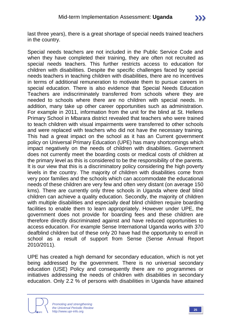last three years), there is a great shortage of special needs trained teachers in the country.

Special needs teachers are not included in the Public Service Code and when they have completed their training, they are often not recruited as special needs teachers. This further restricts access to education for children with disabilities. Despite the specific challenges faced by special needs teachers in teaching children with disabilities, there are no incentives in terms of additional remuneration to motivate them to pursue careers in special education. There is also evidence that Special Needs Education Teachers are indiscriminately transferred from schools where they are needed to schools where there are no children with special needs. In addition, many take up other career opportunities such as administration. For example in 2011, information from the unit for the blind at St. Hellens Primary School in Mbarara district revealed that teachers who were trained to teach children with visual impairments were transferred to other schools and were replaced with teachers who did not have the necessary training. This had a great impact on the school as it has an Current government policy on Universal Primary Education (UPE) has many shortcomings which impact negatively on the needs of children with disabilities. Government does not currently meet the boarding costs or medical costs of children at the primary level as this is considered to be the responsibility of the parents. It is our view that this is a discriminatory policy considering the high poverty levels in the country. The majority of children with disabilities come from very poor families and the schools which can accommodate the educational needs of these children are very few and often very distant (on average 150 kms). There are currently only three schools in Uganda where deaf blind children can achieve a quality education. Secondly, the majority of children with multiple disabilities and especially deaf blind children require boarding facilities to enable them to learn appropriately. However under UPE, the government does not provide for boarding fees and these children are therefore directly discriminated against and have reduced opportunities to access education. For example Sense International Uganda works with 370 deafblind children but of these only 20 have had the opportunity to enroll in school as a result of support from Sense (Sense Annual Report 2010/2011).

UPE has created a high demand for secondary education, which is not yet being addressed by the government. There is no universal secondary education (USE) Policy and consequently there are no programmes or initiatives addressing the needs of children with disabilities in secondary education. Only 2.2 % of persons with disabilities in Uganda have attained

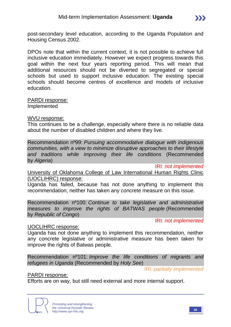post-secondary level education, according to the Uganda Population and Housing Census 2002.

DPOs note that within the current context, it is not possible to achieve full inclusive education immediately. However we expect progress towards this goal within the next four years reporting period. This will mean that additional resources should not be diverted to segregated or special schools but used to support inclusive education. The existing special schools should become centres of excellence and models of inclusive education.

PARDI response: Implemented

WVU response:

This continues to be a challenge, especially where there is no reliable data about the number of disabled children and where they live.

Recommendation nº99: *Pursuing accommodative dialogue with indigenous communities, with a view to minimize disruptive approaches to their lifestyle and traditions while improving their life conditions* (Recommended by *Algeria*)

IRI: *not implemented*

University of Oklahoma College of Law International Human Rights Clinic (UOCLIHRC) response:

Uganda has failed, because has not done anything to implement this recommendation; neither has taken any concrete measure on this issue.

Recommendation nº100: *Continue to take legislative and administrative measures to improve the rights of BATWAS people* (Recommended by *Republic of Congo*)

IRI: *not implemented*

#### UOCLIHRC response:

Uganda has not done anything to implement this recommendation, neither any concrete legislative or administrative measure has been taken for improve the rights of Batwas people.

Recommendation nº101: *Improve the life conditions of migrants and refugees in Uganda* (Recommended by *Holy See*)

IRI: *partially implemented*

PARDI response:

Efforts are on way, but still need external and more internal support.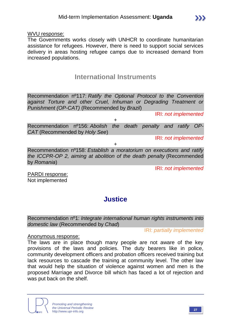WVU response:

The Governments works closely with UNHCR to coordinate humanitarian assistance for refugees. However, there is need to support social services delivery in areas hosting refugee camps due to increased demand from increased populations.

## **International Instruments**

Recommendation nº117: *Ratify the Optional Protocol to the Convention against Torture and other Cruel, Inhuman or Degrading Treatment or Punishment (OP-CAT)* (Recommended by *Brazil*)

IRI: *not implemented*

 $\sum$ 

+ Recommendation nº156: *Abolish the death penalty and ratify OP-CAT* (Recommended by *Holy See*)

IRI: *not implemented*

+

Recommendation nº158: *Establish a moratorium on executions and ratify the ICCPR-OP 2, aiming at abolition of the death penalty* (Recommended by *Romania*)

IRI: *not implemented*

PARDI response: Not implemented

# **Justice**

Recommendation nº1: *Integrate international human rights instruments into domestic law* (Recommended by *Chad*)

IRI: *partially implemented*

#### Anonymous response:

The laws are in place though many people are not aware of the key provisions of the laws and policies. The duty bearers like in police, community development officers and probation officers received training but lack resources to cascade the training at community level. The other law that would help the situation of violence against women and men is the proposed Marriage and Divorce bill which has faced a lot of rejection and was put back on the shelf.



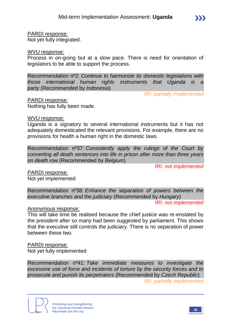PARDI response: Not yet fully integrated.

WVU response:

Process in on-going but at a slow pace. There is need for orientation of legislators to be able to support the process.

Recommendation nº2: *Continue to harmonize its domestic legislations with those international human rights instruments that Uganda is a party* (Recommended by *Indonesia*)

IRI: *partially implemented*

PARDI response: Nothing has fully been made.

WVU response:

Uganda is a signatory to several international instruments but it has not adequately domesticated the relevant provisions. For example, there are no provisions for health a human right in the domestic laws.

Recommendation nº37: *Consistently apply the rulings of the Court by converting all death sentences into life in prison after more than three years on death row* (Recommended by *Belgium*)

IRI: *not implemented*

PARDI response: Not yet implemented

Recommendation nº38: *Enhance the separation of powers between the executive branches and the judiciary* (Recommended by *Hungary*)

IRI: *not implemented*

Anonymous response:

This will take time be realised because the chief justice was re-enstated by the president after so many had been suggested by parliament. This shows that the executive still controls the judiciary. There is no separation of power between these two.

PARDI response: Not yet fully implemented

Recommendation nº41: *Take immediate measures to investigate the excessive use of force and incidents of torture by the security forces and to prosecute and punish its perpetrators* (Recommended by *Czech Republic*) IRI: *partially implemented*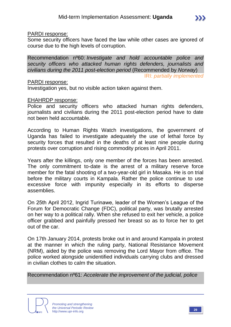#### PARDI response:

Some security officers have faced the law while other cases are ignored of course due to the high levels of corruption.

Recommendation nº60: *Investigate and hold accountable police and security officers who attacked human rights defenders, journalists and civilians during the 2011 post-election period* (Recommended by *Norway*) IRI: *partially implemented*

#### PARDI response:

Investigation yes, but no visible action taken against them.

#### EHAHRDP response:

Police and security officers who attacked human rights defenders, journalists and civilians during the 2011 post-election period have to date not been held accountable.

According to Human Rights Watch investigations, the government of Uganda has failed to investigate adequately the use of lethal force by security forces that resulted in the deaths of at least nine people during protests over corruption and rising commodity prices in April 2011.

Years after the killings, only one member of the forces has been arrested. The only commitment to-date is the arrest of a military reserve force member for the fatal shooting of a two-year-old girl in Masaka. He is on trial before the military courts in Kampala. Rather the police continue to use excessive force with impunity especially in its efforts to disperse assemblies.

On 25th April 2012, Ingrid Turinawe, leader of the Women's League of the Forum for Democratic Change (FDC), political party, was brutally arrested on her way to a political rally. When she refused to exit her vehicle, a police officer grabbed and painfully pressed her breast so as to force her to get out of the car.

On 17th January 2014, protests broke out in and around Kampala in protest at the manner in which the ruling party, National Resistance Movement (NRM), aided by the police was removing the Lord Mayor from office. The police worked alongside unidentified individuals carrying clubs and dressed in civilian clothes to calm the situation.

Recommendation nº61: *Accelerate the improvement of the judicial, police* 

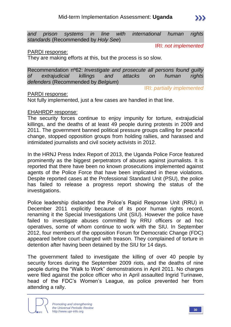*and prison systems in line with international human rights standards* (Recommended by *Holy See*)

IRI: *not implemented*

IRI: *partially implemented*

#### PARDI response:

They are making efforts at this, but the process is so slow.

Recommendation nº62: *Investigate and prosecute all persons found guilty of extrajudicial killings and attacks on human rights defenders* (Recommended by *Belgium*)

#### PARDI response:

Not fully implemented, just a few cases are handled in that line.

#### EHAHRDP response:

The security forces continue to enjoy impunity for torture, extrajudicial killings, and the deaths of at least 49 people during protests in 2009 and 2011. The government banned political pressure groups calling for peaceful change, stopped opposition groups from holding rallies, and harassed and intimidated journalists and civil society activists in 2012.

In the HRNJ Press Index Report of 2013, the Uganda Police Force featured prominently as the biggest perpetrators of abuses against journalists. It is reported that there have been no known prosecutions implemented against agents of the Police Force that have been implicated in these violations. Despite reported cases at the Professional Standard Unit (PSU), the police has failed to release a progress report showing the status of the investigations.

Police leadership disbanded the Police's Rapid Response Unit (RRU) in December 2011 explicitly because of its poor human rights record, renaming it the Special Investigations Unit (SIU). However the police have failed to investigate abuses committed by RRU officers or ad hoc operatives, some of whom continue to work with the SIU. In September 2012, four members of the opposition Forum for Democratic Change (FDC) appeared before court charged with treason. They complained of torture in detention after having been detained by the SIU for 14 days.

The government failed to investigate the killing of over 40 people by security forces during the September 2009 riots, and the deaths of nine people during the "Walk to Work" demonstrations in April 2011. No charges were filed against the police officer who in April assaulted Ingrid Turinawe, head of the FDC's Women's League, as police prevented her from attending a rally.

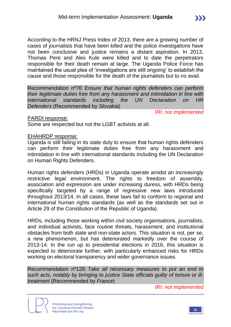According to the HRNJ Press Index of 2013, there are a growing number of cases of journalists that have been killed and the police investigations have not been conclusive and justice remains a distant aspiration. In 2013, Thomas Pere and Alex Kule were killed and to date the perpetrators responsible for their death remain at large. The Uganda Police Force has maintained the usual plea of 'investigations are still ongoing' to establish the cause and those responsible for the death of the journalists but to no avail.

Recommendation nº76: *Ensure that human rights defenders can perform their legitimate duties free from any harassment and intimidation in line with international standards including the UN Declaration on HR Defenders* (Recommended by *Slovakia*)

IRI: *not implemented*

#### PARDI response:

Some are respected but not the LGBT activists at all.

#### EHAHRDP response:

Uganda is still failing in its state duty to ensure that human rights defenders can perform their legitimate duties free from any harassment and intimidation in line with international standards including the UN Declaration on Human Rights Defenders.

Human rights defenders (HRDs) in Uganda operate amidst an increasingly restrictive legal environment. The rights to freedom of assembly, association and expression are under increasing duress, with HRDs being specifically targeted by a range of regressive new laws introduced throughout 2013/14. In all cases, these laws fail to conform to regional and international human rights standards (as well as the standards set out in Article 29 of the Constitution of the Republic of Uganda).

HRDs, including those working within civil society organisations, journalists, and individual activists, face routine threats, harassment, and institutional obstacles from both state and non-state actors. This situation is not, per se, a new phenomenon, but has deteriorated markedly over the course of 2013-14. In the run up to presidential elections in 2016, this situation is expected to deteriorate further, with particularly enhanced risks for HRDs working on electoral transparency and wider governance issues.

Recommendation nº128: *Take all necessary measures to put an end to such acts, notably by bringing to justice State officials guilty of torture or illtreatment* (Recommended by *France*)

IRI: *not implemented*



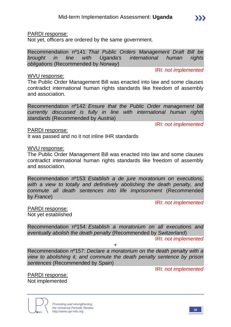#### PARDI response:

Not yet, officers are ordered by the same government.

Recommendation nº141: *That Public Orders Management Draft Bill be brought in line with Uganda's international human rights obligations* (Recommended by *Norway*)

IRI: *not implemented*

#### WVU response:

The Public Order Management Bill was enacted into law and some clauses contradict international human rights standards like freedom of assembly and association.

Recommendation nº142: *Ensure that the Public Order management bill currently discussed is fully in line with international human rights standards* (Recommended by *Austria*)

IRI: *not implemented*

#### PARDI response:

It was passed and no it not inline IHR standards

#### WVU response:

The Public Order Management Bill was enacted into law and some clauses contradict international human rights standards like freedom of assembly and association.

Recommendation nº153: *Establish a de jure moratorium on executions, with a view to totally and definitively abolishing the death penalty, and commute all death sentences into life imprisonment* (Recommended by *France*)

IRI: *not implemented*

PARDI response: Not yet established

Recommendation nº154: *Establish a moratorium on all executions and eventually abolish the death penalty* (Recommended by *Switzerland*)

IRI: *not implemented*

Recommendation nº157: *Declare a moratorium on the death penalty with a view to abolishing it, and commute the death penalty sentence by prison sentences* (Recommended by *Spain*)

+

IRI: *not implemented*

PARDI response: Not implemented



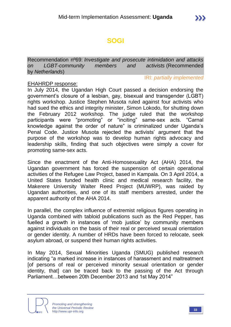# **SOGI**

Recommendation nº69: *Investigate and prosecute intimidation and attacks on LGBT-community members and activists* (Recommended by *Netherlands*)

IRI: *partially implemented*

#### EHAHRDP response:

In July 2014, the Ugandan High Court passed a decision endorsing the government's closure of a lesbian, gay, bisexual and transgender (LGBT) rights workshop. Justice Stephen Musota ruled against four activists who had sued the ethics and integrity minister, Simon Lokodo, for shutting down the February 2012 workshop. The judge ruled that the workshop participants were "promoting" or "inciting" same-sex acts. "Carnal knowledge against the order of nature" is criminalized under Uganda's Penal Code. Justice Musota rejected the activists' argument that the purpose of the workshop was to develop human rights advocacy and leadership skills, finding that such objectives were simply a cover for promoting same-sex acts.

Since the enactment of the Anti-Homosexuality Act (AHA) 2014, the Ugandan government has forced the suspension of certain operational activities of the Refugee Law Project, based in Kampala. On 3 April 2014, a United States funded health clinic and medical research facility, the Makerere University Walter Reed Project (MUWRP), was raided by Ugandan authorities, and one of its staff members arrested, under the apparent authority of the AHA 2014.

In parallel, the complex influence of extremist religious figures operating in Uganda combined with tabloid publications such as the Red Pepper, has fuelled a growth in instances of 'mob justice' by community members against individuals on the basis of their real or perceived sexual orientation or gender identity. A number of HRDs have been forced to relocate, seek asylum abroad, or suspend their human rights activities.

In May 2014, Sexual Minorities Uganda (SMUG) published research indicating "a marked increase in instances of harassment and maltreatment [of persons of real or perceived minority sexual orientation or gender identity, that] can be traced back to the passing of the Act through Parliament…between 20th December 2013 and 1st May 2014"

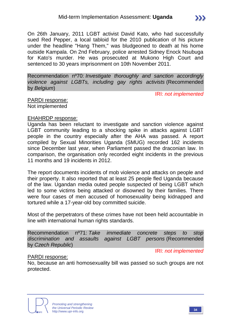On 26th January, 2011 LGBT activist David Kato, who had successfully sued Red Pepper, a local tabloid for the 2010 publication of his picture under the headline "Hang Them," was bludgeoned to death at his home outside Kampala. On 2nd February, police arrested Sidney Enock Nsubuga for Kato's murder. He was prosecuted at Mukono High Court and sentenced to 30 years imprisonment on 10th November 2011.

Recommendation nº70: *Investigate thoroughly and sanction accordingly violence against LGBTs, including gay rights activists* (Recommended by *Belgium*)

IRI: *not implemented*

PARDI response: Not implemented

#### EHAHRDP response:

Uganda has been reluctant to investigate and sanction violence against LGBT community leading to a shocking spike in attacks against LGBT people in the country especially after the AHA was passed. A report compiled by Sexual Minorities Uganda (SMUG) recorded 162 incidents since December last year, when Parliament passed the draconian law. In comparison, the organisation only recorded eight incidents in the previous 11 months and 19 incidents in 2012.

The report documents incidents of mob violence and attacks on people and their property. It also reported that at least 25 people fled Uganda because of the law. Ugandan media outed people suspected of being LGBT which led to some victims being attacked or disowned by their families. There were four cases of men accused of homosexuality being kidnapped and tortured while a 17-year-old boy committed suicide.

Most of the perpetrators of these crimes have not been held accountable in line with international human rights standards.

Recommendation nº71: *Take immediate concrete steps to stop discrimination and assaults against LGBT persons* (Recommended by *Czech Republic*)

IRI: *not implemented*

#### PARDI response:

No, because an anti homosexuality bill was passed so such groups are not protected.

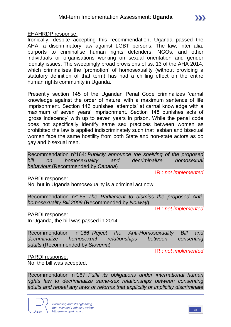EHAHRDP response:

Ironically, despite accepting this recommendation, Uganda passed the AHA, a discriminatory law against LGBT persons. The law, inter alia, purports to criminalise human rights defenders, NGOs, and other individuals or organisations working on sexual orientation and gender identity issues. The sweepingly broad provisions of ss. 13 of the AHA 2014, which criminalises the 'promotion' of homosexuality (without providing a statutory definition of that term) has had a chilling effect on the entire human rights community in Uganda.

Presently section 145 of the Ugandan Penal Code criminalizes 'carnal knowledge against the order of nature' with a maximum sentence of life imprisonment. Section 146 punishes 'attempts' at carnal knowledge with a maximum of seven years' imprisonment. Section 148 punishes acts of 'gross indecency' with up to seven years in prison. While the penal code does not specifically identify same sex practices between women as prohibited the law is applied indiscriminately such that lesbian and bisexual women face the same hostility from both State and non-state actors as do gay and bisexual men.

Recommendation nº164: *Publicly announce the shelving of the proposed bill on homosexuality and decriminalize homosexual behaviour* (Recommended by *Canada*)

IRI: *not implemented*

PARDI response:

No, but in Uganda homosexuality is a criminal act now

Recommendation nº165: *The Parliament to dismiss the proposed Antihomosexuality Bill 2009* (Recommended by *Norway*)

IRI: *not implemented*

PARDI response:

In Uganda, the bill was passed in 2014.

Recommendation nº166: *Reject the Anti-Homosexuality Bill and decriminalize homosexual relationships between consenting adults* (Recommended by *Slovenia*)

IRI: *not implemented*

PARDI response:

No, the bill was accepted.

Recommendation nº167: *Fulfil its obligations under international human rights law to decriminalize same-sex relationships between consenting adults and repeal any laws or reforms that explicitly or implicitly discriminate* 

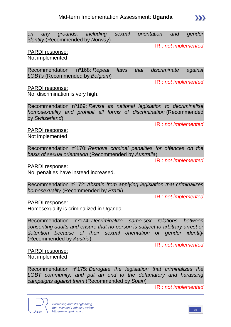on any grounds, including sexual orientation and gender *identity* (Recommended by *Norway*)

IRI: *not implemented*

IRI: *not implemented*

#### PARDI response:

Not implemented

Recommendation nº168: *Repeal laws that discriminate against LGBTs* (Recommended by *Belgium*)

PARDI response:

No, discrimination is very high.

Recommendation nº169: *Revise its national legislation to decriminalise homosexuality and prohibit all forms of discrimination* (Recommended by *Switzerland*)

IRI: *not implemented*

PARDI response: Not implemented

Recommendation nº170: *Remove criminal penalties for offences on the basis of sexual orientation* (Recommended by *Australia*)

IRI: *not implemented*

PARDI response:

No, penalties have instead increased.

Recommendation nº172: *Abstain from applying legislation that criminalizes homosexuality* (Recommended by *Brazil*)

IRI: *not implemented*

PARDI response:

Homosexuality is criminalized in Uganda.

Recommendation nº174: *Decriminalize same-sex relations between consenting adults and ensure that no person is subject to arbitrary arrest or detention because of their sexual orientation or gender identity* (Recommended by *Austria*)

IRI: *not implemented*

PARDI response: Not implemented

Recommendation nº175: *Derogate the legislation that criminalizes the LGBT community, and put an end to the defamatory and harassing campaigns against them* (Recommended by *Spain*)

IRI: *not implemented*

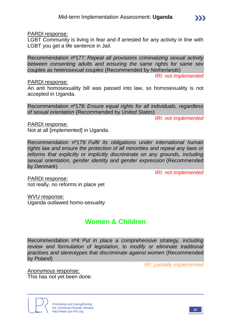PARDI response:

LGBT Community is living in fear and if arrested for any activity in line with LGBT you get a life sentence in Jail.

Recommendation nº177: *Repeal all provisions criminalizing sexual activity between consenting adults and ensuring the same rights for same sex couples as heterosexual couples* (Recommended by *Netherlands*)

IRI: *not implemented*

 $\sum$ 

#### PARDI response:

An anti homosexuality bill was passed into law, so homosexuality is not accepted in Uganda.

Recommendation nº178: *Ensure equal rights for all individuals, regardless of sexual orientation* (Recommended by *United States*)

IRI: *not implemented*

PARDI response:

Not at all [implemented] in Uganda.

Recommendation nº179: *Fulfil its obligations under international human rights law and ensure the protection of all minorities and repeal any laws or*  reforms that explicitly or implicitly discriminate on any grounds, including *sexual orientation, gender identity and gender expression* (Recommended by *Denmark*)

IRI: *not implemented*

PARDI response: not really, no reforms in place yet

WVU response: Uganda outlawed homo-sexuality

## **Women & Children**

Recommendation nº4: *Put in place a comprehensive strategy, including review and formulation of legislation, to modify or eliminate traditional practises and stereotypes that discriminate against women* (Recommended by *Poland*)

IRI: *partially implemented*

Anonymous response: This has not yet been done.

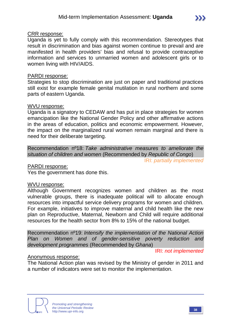#### CRR response:

Uganda is yet to fully comply with this recommendation. Stereotypes that result in discrimination and bias against women continue to prevail and are manifested in health providers' bias and refusal to provide contraceptive information and services to unmarried women and adolescent girls or to women living with HIV/AIDS.

#### PARDI response:

Strategies to stop discrimination are just on paper and traditional practices still exist for example female genital mutilation in rural northern and some parts of eastern Uganda.

#### WVU response:

Uganda is a signatory to CEDAW and has put in place strategies for women emancipation like the National Gender Policy and other affirmative actions in the areas of education, politics and economic empowerment. However, the impact on the marginalized rural women remain marginal and there is need for their deliberate targeting.

Recommendation nº18: *Take administrative measures to ameliorate the situation of children and women* (Recommended by *Republic of Congo*)

IRI: *partially implemented*

PARDI response:

Yes the government has done this.

#### WVU response:

Although Government recognizes women and children as the most vulnerable groups, there is inadequate political will to allocate enough resources into impactful service delivery programs for women and children. For example, initiatives to improve maternal and child health like the new plan on Reproductive, Maternal, Newborn and Child will require additional resources for the health sector from 8% to 15% of the national budget.

Recommendation nº19: *Intensify the implementation of the National Action Plan on Women and of gender-sensitive poverty reduction and development programmes* (Recommended by *Ghana*)

IRI: *not implemented*

#### Anonymous response:

The National Action plan was revised by the Ministry of gender in 2011 and a number of indicators were set to monitor the implementation.

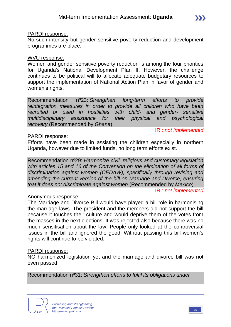#### PARDI response:

No such intensity but gender sensitive poverty reduction and development programmes are place.

#### WVU response:

Women and gender sensitive poverty reduction is among the four priorities for Uganda's National Development Plan II. However, the challenge continues to be political will to allocate adequate budgetary resources to support the implementation of National Action Plan in favor of gender and women's rights.

Recommendation nº23: *Strengthen long-term efforts to provide reintegration measures in order to provide all children who have been recruited or used in hostilities with child- and gender- sensitive multidisciplinary assistance for their physical and psychological recovery* (Recommended by *Ghana*)

#### PARDI response:

#### IRI: *not implemented*

 $\sum$ 

Efforts have been made in assisting the children especially in northern Uganda, however due to limited funds, no long term efforts exist.

Recommendation nº29: *Harmonize civil, religious and customary legislation*  with articles 15 and 16 of the Convention on the elimination of all forms of *discrimination against women (CEDAW), specifically through revising and amending the current version of the bill on Marriage and Divorce, ensuring that it does not discriminate against women* (Recommended by *Mexico*)

#### IRI: *not implemented*

#### Anonymous response:

The Marriage and Divorce Bill would have played a bill role in harmonising the marriage laws. The president and the members did not support the bill because it touches their culture and would deprive them of the votes from the masses in the next elections. It was rejected also because there was no much sensitisation about the law. People only looked at the controversial issues in the bill and ignored the good. Without passing this bill women's rights will continue to be violated.

#### PARDI response:

NO harmonized legislation yet and the marriage and divorce bill was not even passed.

Recommendation nº31: *Strengthen efforts to fulfil its obligations under*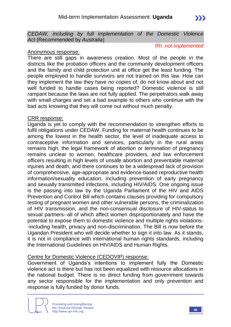*CEDAW, including by full implementation of the Domestic Violence Act* (Recommended by *Australia*)

#### Anonymous response:

There are still gaps in awareness creation. Most of the people in the districts like the probation officers and the community development officers and the family and child protection unit at office get the least funding. The people employed to handle survivors are not trained on this law. How can they implement the law they have no copies of, do not know about and not well funded to handle cases being reported? Domestic violence is still rampant because the laws are not fully applied. The perpetrators walk away with small charges and set a bad example to others who continue with the bad acts knowing that they will come out without much penalty.

#### CRR response:

Uganda is yet to comply with the recommendation to strengthen efforts to fulfil obligations under CEDAW. Funding for maternal health continues to be among the lowest in the health sector, the level of inadequate access to contraceptive information and services, particularly in the rural areas remains high, the legal framework of abortion or termination of pregnancy remains unclear to women, healthcare providers, and law enforcement officers resulting in high levels of unsafe abortion and preventable maternal injuries and death, and there continues to be a widespread lack of provision of comprehensive, age-appropriate and evidence-based reproductive health information/sexuality education, including prevention of early pregnancy and sexually transmitted infections, including HIV/AIDS. One ongoing issue is the passing into law by the Uganda Parliament of the HIV and AIDS Prevention and Control Bill which contains clauses providing for compulsory testing of pregnant women and other vulnerable persons, the criminalization of HIV transmission, and the non-consensual disclosure of HIV-status to sexual partners--all of which affect women disproportionately and have the potential to expose them to domestic violence and multiple rights violations- -including health, privacy and non-discrimination. The Bill is now before the Ugandan President who will decide whether to sign it into law. As it stands, it is not in compliance with international human rights standards, including the International Guidelines on HIV/AIDS and Human Rights.

#### Centre for Domestic Violence (CEDOVIP) response:

Government of Uganda's intentions to implement fully the Domestic violence act is there but has not been equalized with resource allocations in the national budget. There is no direct funding from government towards any sector responsible for the implementation and only prevention and response is fully funded by donor funds.



IRI: *not implemented*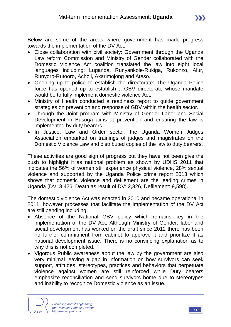- Close collaboration with civil society: Government through the Uganda Law reform Commission and Ministry of Gender collaborated with the Domestic Violence Act coalition translated the law into eight local languages including; Luganda, Runyankole-Rukiga, Rukonzo, Alur, Runyoro-Rutooro, Acholi, Akarimojong and Ateso.
- Opening up to police to establish the directorate: The Uganda Police force has opened up to establish a GBV directorate whose mandate would be to fully implement domestic violence Act.
- Ministry of Health conducted a readiness report to guide government strategies on prevention and response of GBV within the health sector.
- Through the Joint program with Ministry of Gender Labor and Social Development in Busoga aims at prevention and ensuring the law is implemented by duty bearers.
- In Justice, Law and Order sector, the Uganda Women Judges Association embarked on trainings of judges and magistrates on the Domestic Violence Law and distributed copies of the law to duty bearers.

These activities are good sign of progress but they have not been give the push to highlight it as national problem as shown by UDHS 2011 that indicates the 56% of women still experience physical violence, 28% sexual violence and supported by the Uganda Police crime report 2013 which shows that domestic violence and defilement are the leading crimes in Uganda (DV: 3,426, Death as result of DV: 2,326, Defilement: 9,598).

The domestic violence Act was enacted in 2010 and became operational in 2011, however processes that facilitate the implementation of the DV Act are still pending including;

- Absence of the National GBV policy which remains key in the implementation of the DV Act. Although Ministry of Gender, labor and social development has worked on the draft since 2012 there has been no further commitment from cabinet to approve it and prioritize it as national development issue. There is no convincing explanation as to why this is not completed.
- Vigorous Public awareness about the law by the government are also very minimal leaving a gap in information on how survivors can seek support, attitudes, stereotypes, practices and behaviors that perpetuate violence against women are still reinforced while Duty bearers emphasize reconciliation and send survivors home due to stereotypes and inability to recognize Domestic violence as an issue.

 $\sum$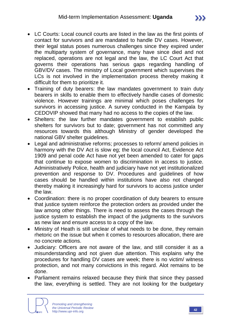- LC Courts: Local council courts are listed in the law as the first points of contact for survivors and are mandated to handle DV cases. However, their legal status poses numerous challenges since they expired under the multiparty system of governance, many have since died and not replaced, operations are not legal and the law, the LC Court Act that governs their operations has serious gaps regarding handling of GBV/DV cases. The ministry of Local government which supervises the LCs is not involved in the implementation process thereby making it difficult for them to prioritize it.
- Training of duty bearers: the law mandates government to train duty bearers in skills to enable them to effectively handle cases of domestic violence. However trainings are minimal which poses challenges for survivors in accessing justice. A survey conducted in the Kampala by CEDOVIP showed that many had no access to the copies of the law.
- Shelters: the law further mandates government to establish public shelters for survivors but to date; government has not committed any resources towards this although Ministry of gender developed the national GBV shelter guidelines.
- Legal and administrative reforms; processes to reform/ amend policies in harmony with the DV Act is slow eg; the local council Act, Evidence Act 1909 and penal code Act have not yet been amended to cater for gaps that continue to expose women to discrimination in access to justice. Administratively Police, health and judiciary have not yet institutionalized prevention and response to DV. Procedures and guidelines of how cases should be handled within institutions have also not changed thereby making it increasingly hard for survivors to access justice under the law.
- Coordination: there is no proper coordination of duty bearers to ensure that justice system reinforce the protection orders as provided under the law among other things. There is need to assess the cases through the justice system to establish the impact of the judgments to the survivors as new law and ensure access to a copy of the law.
- Ministry of Heath is still unclear of what needs to be done, they remain rhetoric on the issue but when it comes to resources allocation, there are no concrete actions.
- Judiciary: Officers are not aware of the law, and still consider it as a misunderstanding and not given due attention. This explains why the procedures for handling DV cases are week; there is no victim/ witness protection, and not many convictions in this regard. Alot remains to be done.
- Parliament remains relaxed because they think that since they passed the law, everything is settled. They are not looking for the budgetary

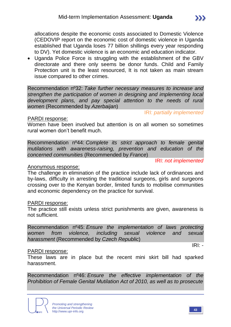allocations despite the economic costs associated to Domestic Violence (CEDOVIP report on the economic cost of domestic violence in Uganda established that Uganda loses 77 billion shillings every year responding to DV). Yet domestic violence is an economic and education indicator.

 Uganda Police Force is struggling with the establishment of the GBV directorate and there only seems be donor funds. Child and Family Protection unit is the least resourced, It is not taken as main stream issue compared to other crimes.

Recommendation nº32: *Take further necessary measures to increase and strengthen the participation of women in designing and implementing local development plans, and pay special attention to the needs of rural women* (Recommended by *Azerbaijan*)

#### PARDI response:

IRI: *partially implemented*

Women have been involved but attention is on all women so sometimes rural women don't benefit much.

Recommendation nº44: *Complete its strict approach to female genital mutilations with awareness-raising, prevention and education of the concerned communities* (Recommended by *France*)

IRI: *not implemented*

#### Anonymous response:

The challenge in elimination of the practice include lack of ordinances and by-laws, difficulty in arresting the traditional surgeons, girls and surgeons crossing over to the Kenyan border, limited funds to mobilise communities and economic dependency on the practice for survival.

#### PARDI response:

The practice still exists unless strict punishments are given, awareness is not sufficient.

Recommendation nº45: *Ensure the implementation of laws protecting women from violence, including sexual violence and sexual harassment* (Recommended by *Czech Republic*)

#### PARDI response:

These laws are in place but the recent mini skirt bill had sparked harassment.

Recommendation nº46: *Ensure the effective implementation of the Prohibition of Female Genital Mutilation Act of 2010, as well as to prosecute* 



IRI: *-*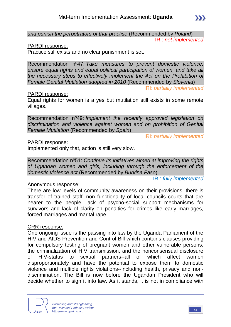*and punish the perpetrators of that practise* (Recommended by *Poland*)

IRI: *not implemented*

 $\sum$ 

#### PARDI response:

Practice still exists and no clear punishment is set.

Recommendation nº47: *Take measures to prevent domestic violence, ensure equal rights and equal political participation of women, and take all the necessary steps to effectively implement the Act on the Prohibition of Female Genital Mutilation adopted in 2010* (Recommended by *Slovenia*)

IRI: *partially implemented*

#### PARDI response:

Equal rights for women is a yes but mutilation still exists in some remote villages.

Recommendation nº49: *Implement the recently approved legislation on discrimination and violence against women and on prohibition of Genital Female Mutilation* (Recommended by *Spain*)

IRI: *partially implemented*

#### PARDI response:

Implemented only that, action is still very slow.

Recommendation nº51: *Continue its initiatives aimed at improving the rights of Ugandan women and girls, including through the enforcement of the domestic violence act* (Recommended by *Burkina Faso*)

IRI: *fully implemented*

#### Anonymous response:

There are low levels of community awareness on their provisions, there is transfer of trained staff, non functionality of local councils courts that are nearer to the people, lack of psycho-social support mechanisms for survivors and lack of clarity on penalties for crimes like early marriages, forced marriages and marital rape.

#### CRR response:

One ongoing issue is the passing into law by the Uganda Parliament of the HIV and AIDS Prevention and Control Bill which contains clauses providing for compulsory testing of pregnant women and other vulnerable persons, the criminalization of HIV transmission, and the nonconsensual disclosure of HIV-status to sexual partners--all of which affect women disproportionately and have the potential to expose them to domestic violence and multiple rights violations--including health, privacy and nondiscrimination. The Bill is now before the Ugandan President who will decide whether to sign it into law. As it stands, it is not in compliance with

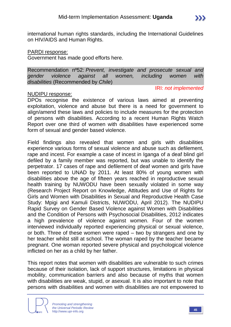international human rights standards, including the International Guidelines on HIV/AIDS and Human Rights.

#### PARDI response:

Government has made good efforts here.

Recommendation nº52: *Prevent, investigate and prosecute sexual and gender violence against all women, including women with disabilities* (Recommended by *Chile*)

#### NUDIPU response:

#### IRI: *not implemented*

 $\sum$ 

DPOs recognise the existence of various laws aimed at preventing exploitation, violence and abuse but there is a need for government to align/amend these laws and policies to include measures for the protection of persons with disabilities. According to a recent Human Rights Watch Report over one third of women with disabilities have experienced some form of sexual and gender based violence.

Field findings also revealed that women and girls with disabilities experience various forms of sexual violence and abuse such as defilement, rape and incest. For example a case of incest in Iganga of a deaf blind girl defiled by a family member was reported, but was unable to identify the perpetrator. 17 cases of rape and defilement of deaf women and girls have been reported to UNAD by 2011. At least 80% of young women with disabilities above the age of fifteen years reached in reproductive sexual health training by NUWODU have been sexually violated in some way (Research Project Report on Knowledge, Attitudes and Use of Rights for Girls and Women with Disabilities in Sexual and Reproductive Health Case Study: Mpigi and Kamuli Districts, NUWODU, April 2012). The NUDIPU Rapid Survey on Gender Based Violence against Women with Disabilities and the Condition of Persons with Psychosocial Disabilities, 2012 indicates a high prevalence of violence against women. Four of the women interviewed individually reported experiencing physical or sexual violence, or both. Three of these women were raped – two by strangers and one by her teacher whilst still at school. The woman raped by the teacher became pregnant. One woman reported severe physical and psychological violence inflicted on her as a child by her father.

This report notes that women with disabilities are vulnerable to such crimes because of their isolation, lack of support structures, limitations in physical mobility, communication barriers and also because of myths that women with disabilities are weak, stupid, or asexual. It is also important to note that persons with disabilities and women with disabilities are not empowered to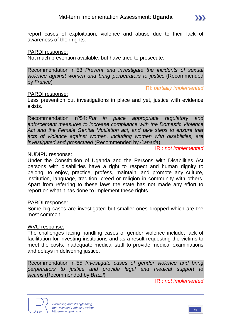report cases of exploitation, violence and abuse due to their lack of awareness of their rights.

#### PARDI response:

Not much prevention available, but have tried to prosecute.

Recommendation nº53: *Prevent and investigate the incidents of sexual violence against women and bring perpetrators to justice* (Recommended by *France*)

#### PARDI response:

Less prevention but investigations in place and yet, justice with evidence exists.

Recommendation nº54: *Put in place appropriate regulatory and enforcement measures to increase compliance with the Domestic Violence Act and the Female Genital Mutilation act, and take steps to ensure that acts of violence against women, including women with disabilities, are investigated and prosecuted* (Recommended by *Canada*)

IRI: *not implemented*

IRI: *partially implemented*

#### NUDIPU response:

Under the Constitution of Uganda and the Persons with Disabilities Act persons with disabilities have a right to respect and human dignity to belong, to enjoy, practice, profess, maintain, and promote any culture, institution, language, tradition, creed or religion in community with others. Apart from referring to these laws the state has not made any effort to report on what it has done to implement these rights.

#### PARDI response:

Some big cases are investigated but smaller ones dropped which are the most common.

#### WVU response:

The challenges facing handling cases of gender violence include; lack of facilitation for investing institutions and as a result requesting the victims to meet the costs, inadequate medical staff to provide medical examinations and delays in delivering justice.

Recommendation nº55: *Investigate cases of gender violence and bring perpetrators to justice and provide legal and medical support to victims* (Recommended by *Brazil*)

IRI: *not implemented*



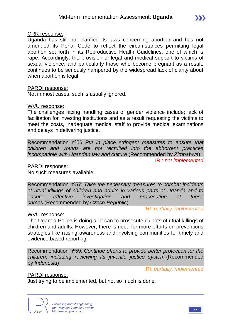Uganda has still not clarified its laws concerning abortion and has not amended its Penal Code to reflect the circumstances permitting legal abortion set forth in its Reproductive Health Guidelines, one of which is rape. Accordingly, the provision of legal and medical support to victims of sexual violence, and particularly those who become pregnant as a result, continues to be seriously hampered by the widespread lack of clarity about when abortion is legal.

#### PARDI response:

Not in most cases, such is usually ignored.

#### WVU response:

The challenges facing handling cases of gender violence include; lack of facilitation for investing institutions and as a result requesting the victims to meet the costs, inadequate medical staff to provide medical examinations and delays in delivering justice.

Recommendation nº56: *Put in place stringent measures to ensure that children and youths are not recruited into the abhorrent practices incompatible with Ugandan law and culture* (Recommended by *Zimbabwe*)

IRI: *not implemented*

PARDI response:

No such measures available.

Recommendation nº57: *Take the necessary measures to combat incidents of ritual killings of children and adults in various parts of Uganda and to ensure effective investigation and prosecution of these crimes* (Recommended by *Czech Republic*)

IRI: *partially implemented*

#### WVU response:

The Uganda Police is doing all it can to prosecute culprits of ritual killings of children and adults. However, there is need for more efforts on preventions strategies like raising awareness and involving communities for timely and evidence based reporting.

Recommendation nº59: *Continue efforts to provide better protection for the children, including reviewing its juvenile justice system* (Recommended by *Indonesia*)

IRI: *partially implemented*

PARDI response:

Just trying to be implemented, but not so much is done.



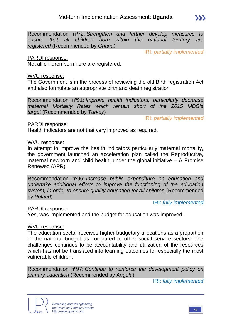Recommendation nº72: *Strengthen and further develop measures to ensure that all children born within the national territory are registered* (Recommended by *Ghana*)

IRI: *partially implemented*

#### PARDI response:

Not all children born here are registered.

#### WVU response:

The Government is in the process of reviewing the old Birth registration Act and also formulate an appropriate birth and death registration.

Recommendation nº91: *Improve health indicators, particularly decrease maternal Mortality Rates which remain short of the 2015 MDG's target* (Recommended by *Turkey*)

IRI: *partially implemented*

#### PARDI response:

Health indicators are not that very improved as required.

#### WVU response:

In attempt to improve the health indicators particularly maternal mortality, the government launched an acceleration plan called the Reproductive, maternal newborn and child health, under the global initiative – A Promise Renewed (APR).

Recommendation nº96: *Increase public expenditure on education and undertake additional efforts to improve the functioning of the education system, in order to ensure quality education for all children* (Recommended by *Poland*)

IRI: *fully implemented*

#### PARDI response:

Yes, was implemented and the budget for education was improved.

#### WVU response:

The education sector receives higher budgetary allocations as a proportion of the national budget as compared to other social service sectors. The challenges continues to be accountability and utilization of the resources which has not be translated into learning outcomes for especially the most vulnerable children.

Recommendation nº97: *Continue to reinforce the development policy on primary education* (Recommended by *Angola*)

IRI: *fully implemented*



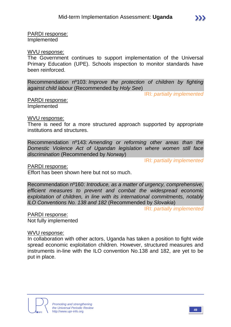PARDI response: Implemented

#### WVU response:

The Government continues to support implementation of the Universal Primary Education (UPE). Schools inspection to monitor standards have been reinforced.

Recommendation nº103: *Improve the protection of children by fighting against child labour* (Recommended by *Holy See*)

IRI: *partially implemented*

PARDI response: Implemented

#### WVU response:

There is need for a more structured approach supported by appropriate institutions and structures.

Recommendation nº143: *Amending or reforming other areas than the Domestic Violence Act of Ugandan legislation where women still face discrimination* (Recommended by *Norway*)

IRI: *partially implemented*

PARDI response:

Effort has been shown here but not so much.

Recommendation nº160: *Introduce, as a matter of urgency, comprehensive, efficient measures to prevent and combat the widespread economic exploitation of children, in line with its international commitments, notably ILO Conventions No. 138 and 182* (Recommended by *Slovakia*)

IRI: *partially implemented*

PARDI response: Not fully implemented

WVU response:

In collaboration with other actors, Uganda has taken a position to fight wide spread economic exploitation children. However, structured measures and instruments in-line with the ILO convention No.138 and 182, are yet to be put in place.



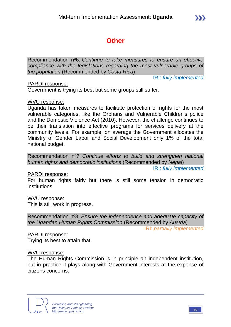# **Other**

Recommendation nº6: *Continue to take measures to ensure an effective compliance with the legislations regarding the most vulnerable groups of the population* (Recommended by *Costa Rica*)

IRI: *fully implemented*

#### PARDI response:

Government is trying its best but some groups still suffer.

#### WVU response:

Uganda has taken measures to facilitate protection of rights for the most vulnerable categories, like the Orphans and Vulnerable Children's police and the Domestic Violence Act (2010). However, the challenge continues to be their translation into effective programs for services delivery at the community levels. For example, on average the Government allocates the Ministry of Gender Labor and Social Development only 1% of the total national budget.

Recommendation nº7: *Continue efforts to build and strengthen national human rights and democratic institutions* (Recommended by *Nepal*)

IRI: *fully implemented*

#### PARDI response:

For human rights fairly but there is still some tension in democratic institutions.

#### WVU response:

This is still work in progress.

Recommendation nº8: *Ensure the independence and adequate capacity of the Ugandan Human Rights Commission* (Recommended by *Austria*)

IRI: *partially implemented*

PARDI response: Trying its best to attain that.

#### WVU response:

The Human Rights Commission is in principle an independent institution, but in practice it plays along with Government interests at the expense of citizens concerns.

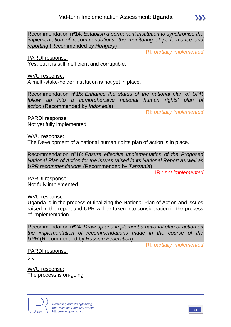Recommendation nº14: *Establish a permanent institution to synchronise the implementation of recommendations, the monitoring of performance and reporting* (Recommended by *Hungary*)

PARDI response:

Yes, but it is still inefficient and corruptible.

WVU response:

A multi-stake-holder institution is not yet in place.

Recommendation nº15: *Enhance the status of the national plan of UPR follow up into a comprehensive national human rights' plan of action* (Recommended by *Indonesia*)

IRI: *partially implemented*

IRI: *partially implemented*

PARDI response: Not yet fully implemented

WVU response:

The Development of a national human rights plan of action is in place.

Recommendation nº16: *Ensure effective implementation of the Proposed National Plan of Action for the issues raised in its National Report as well as UPR recommendations* (Recommended by *Tanzania*)

IRI: *not implemented*

PARDI response: Not fully implemented

WVU response:

Uganda is in the process of finalizing the National Plan of Action and issues raised in the report and UPR will be taken into consideration in the process of implementation.

Recommendation nº24: *Draw up and implement a national plan of action on the implementation of recommendations made in the course of the UPR* (Recommended by *Russian Federation*)

IRI: *partially implemented*

PARDI response: [...]

WVU response: The process is on-going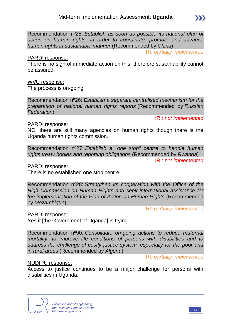Recommendation nº25: *Establish as soon as possible its national plan of action on human rights, in order to coordinate, promote and advance human rights in sustainable manner* (Recommended by *China*)

IRI: *partially implemented*

 $\sum$ 

#### PARDI response:

There is no sign of immediate action on this, therefore sustainability cannot be assured.

#### WVU response:

The process is on-going

Recommendation nº26: *Establish a separate centralised mechanism for the preparation of national human rights reports* (Recommended by *Russian Federation*)

IRI: *not implemented*

#### PARDI response:

NO, there are still many agencies on human rights though there is the Uganda human rights commission.

Recommendation nº27: *Establish a "one stop" centre to handle human rights treaty bodies and reporting obligations* (Recommended by *Rwanda*)

IRI: *not implemented*

PARDI response:

There is no established one stop centre.

Recommendation nº28: *Strengthen its cooperation with the Office of the High Commission on Human Rights and seek international assistance for the implementation of the Plan of Action on Human Rights* (Recommended by *Mozambique*)

IRI: *partially implemented*

PARDI response:

Yes it [the Government of Uganda] is trying.

Recommendation nº90: *Consolidate on-going actions to reduce maternal mortality, to improve life conditions of persons with disabilities and to address the challenge of costly justice system, especially for the poor and in rural areas* (Recommended by *Algeria*)

IRI: *partially implemented*

#### NUDIPU response:

Access to justice continues to be a major challenge for persons with disabilities in Uganda.

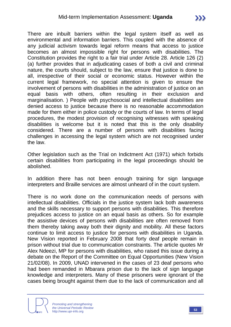There are inbuilt barriers within the legal system itself as well as environmental and information barriers. This coupled with the absence of any judicial activism towards legal reform means that access to justice becomes an almost impossible right for persons with disabilities. The

Constitution provides the right to a fair trial under Article 28. Article 126 (2) (a) further provides that in adjudicating cases of both a civil and criminal nature, the courts should, subject to the law, ensure that justice is done to all, irrespective of their social or economic status. However within the current legal framework, no special attention is given to ensure the involvement of persons with disabilities in the administration of justice on an equal basis with others, often resulting in their exclusion and marginalisation. ) People with psychosocial and intellectual disabilities are denied access to justice because there is no reasonable accommodation made for them either in police custody or the courts of law. In terms of legal procedures, the modest provision of recognising witnesses with speaking disabilities is welcome but it is noted that this is the only disability considered. There are a number of persons with disabilities facing challenges in accessing the legal system which are not recognised under the law.

Other legislation such as the Trial on Indictment Act (1971) which forbids certain disabilities from participating in the legal proceedings should be abolished.

In addition there has not been enough training for sign language interpreters and Braille services are almost unheard of in the court system.

There is no work done on the communication needs of persons with intellectual disabilities. Officials in the justice system lack both awareness and the skills necessary to support persons with disabilities. This therefore prejudices access to justice on an equal basis as others. So for example the assistive devices of persons with disabilities are often removed from them thereby taking away both their dignity and mobility. All these factors continue to limit access to justice for persons with disabilities in Uganda. New Vision reported in February 2008 that forty deaf people remain in prison without trial due to communication constraints. The article quotes Mr Alex Ndeezi, MP for persons with disabilities, who raised this issue during a debate on the Report of the Committee on Equal Opportunities (New Vision 21/02/08). In 2009, UNAD intervened in the cases of 23 deaf persons who had been remanded in Mbarara prison due to the lack of sign language knowledge and interpreters. Many of these prisoners were ignorant of the cases being brought against them due to the lack of communication and all

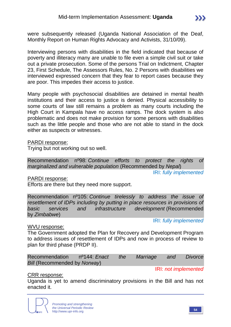were subsequently released (Uganda National Association of the Deaf, Monthly Report on Human Rights Advocacy and Activists, 31/10/09).

Interviewing persons with disabilities in the field indicated that because of poverty and illiteracy many are unable to file even a simple civil suit or take out a private prosecution. Some of the persons Trial on Indictment, Chapter 23, First Schedule, The Assessors Rules, No. 2 Persons with disabilities we interviewed expressed concern that they fear to report cases because they are poor. This impedes their access to justice.

Many people with psychosocial disabilities are detained in mental health institutions and their access to justice is denied. Physical accessibility to some courts of law still remains a problem as many courts including the High Court in Kampala have no access ramps. The dock system is also problematic and does not make provision for some persons with disabilities such as the little people and those who are not able to stand in the dock either as suspects or witnesses.

#### PARDI response:

Trying but not working out so well.

Recommendation nº98: *Continue efforts to protect the rights of marginalized and vulnerable population* (Recommended by *Nepal*)

IRI: *fully implemented*

PARDI response:

Efforts are there but they need more support.

Recommendation nº105: *Continue tirelessly to address the issue of resettlement of IDPs including by putting in place resources in provisions of basic services and infrastructure development* (Recommended by *Zimbabwe*)

#### IRI: *fully implemented*

#### WVU response:

The Government adopted the Plan for Recovery and Development Program to address issues of resettlement of IDPs and now in process of review to plan for third phase (PRDP II).

| Recommendation nº144: Enact the Marriage and |  |  |  | Divorce |
|----------------------------------------------|--|--|--|---------|
| Bill (Recommended by Norway)                 |  |  |  |         |

IRI: *not implemented*

#### CRR response:

Uganda is yet to amend discriminatory provisions in the Bill and has not enacted it.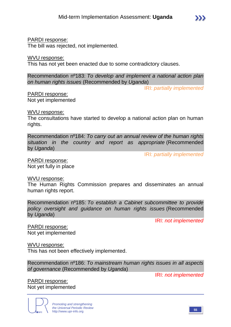#### PARDI response:

The bill was rejected, not implemented.

#### WVU response:

This has not yet been enacted due to some contradictory clauses.

Recommendation nº183: *To develop and implement a national action plan on human rights issues* (Recommended by *Uganda*)

IRI: *partially implemented*

#### PARDI response:

Not yet implemented

#### WVU response:

The consultations have started to develop a national action plan on human rights.

Recommendation nº184: *To carry out an annual review of the human rights situation in the country and report as appropriate* (Recommended by *Uganda*)

IRI: *partially implemented*

PARDI response: Not yet fully in place

#### WVU response:

The Human Rights Commission prepares and disseminates an annual human rights report.

Recommendation nº185: *To establish a Cabinet subcommittee to provide policy oversight and guidance on human rights issues* (Recommended by *Uganda*)

IRI: *not implemented*

PARDI response: Not yet implemented

WVU response:

This has not been effectively implemented.

Recommendation nº186: *To mainstream human rights issues in all aspects of governance* (Recommended by *Uganda*)

IRI: *not implemented*

PARDI response: Not yet implemented

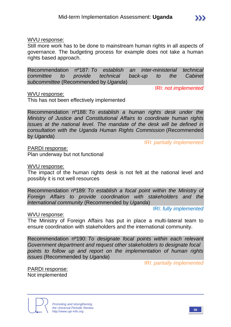#### WVU response:

Still more work has to be done to mainstream human rights in all aspects of governance. The budgeting process for example does not take a human rights based approach.

Recommendation nº187: *To establish an inter-ministerial technical committee to provide technical back-up to the Cabinet subcommittee* (Recommended by *Uganda*)

#### WVU response:

This has not been effectively implemented

Recommendation nº188: *To establish a human rights desk under the Ministry of Justice and Constitutional Affairs to coordinate human rights issues at the national level. The mandate of the desk will be defined in consultation with the Uganda Human Rights Commission* (Recommended by *Uganda*)

IRI: *partially implemented*

IRI: *not implemented*

PARDI response: Plan underway but not functional

#### WVU response:

The impact of the human rights desk is not felt at the national level and possibly it is not well resources

Recommendation nº189: *To establish a focal point within the Ministry of Foreign Affairs to provide coordination with stakeholders and the international community* (Recommended by *Uganda*)

IRI: *fully implemented*

#### WVU response:

The Ministry of Foreign Affairs has put in place a multi-lateral team to ensure coordination with stakeholders and the international community.

Recommendation nº190: *To designate focal points within each relevant Government department and request other stakeholders to designate focal points to follow up and report on the implementation of human rights issues* (Recommended by *Uganda*)

IRI: *partially implemented*

PARDI response: Not implemented

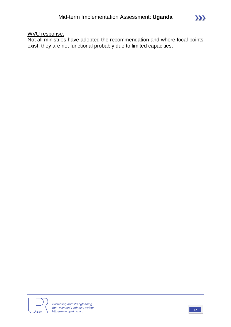### WVU response:

Not all ministries have adopted the recommendation and where focal points exist, they are not functional probably due to limited capacities.



 $\sum$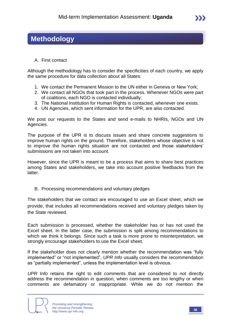## **Methodology**

A. First contact

Although the methodology has to consider the specificities of each country, we apply the same procedure for data collection about all States:

- 1. We contact the Permanent Mission to the UN either in Geneva or New York;
- 2. We contact all NGOs that took part in the process. Whenever NGOs were part of coalitions, each NGO is contacted individually;
- 3. The National Institution for Human Rights is contacted, whenever one exists.
- 4. UN Agencies, which sent information for the UPR, are also contacted.

We post our requests to the States and send e-mails to NHRIs, NGOs and UN Agencies.

The purpose of the UPR is to discuss issues and share concrete suggestions to improve human rights on the ground. Therefore, stakeholders whose objective is not to improve the human rights situation are not contacted and those stakeholders' submissions are not taken into account.

However, since the UPR is meant to be a process that aims to share best practices among States and stakeholders, we take into account positive feedbacks from the latter.

B. Processing recommendations and voluntary pledges

The stakeholders that we contact are encouraged to use an Excel sheet, which we provide, that includes all recommendations received and voluntary pledges taken by the State reviewed.

Each submission is processed, whether the stakeholder has or has not used the Excel sheet. In the latter case, the submission is split among recommendations to which we think it belongs. Since such a task is more prone to misinterpretation, we strongly encourage stakeholders to use the Excel sheet.

If the stakeholder does not clearly mention whether the recommendation was "fully implemented" or "not implemented", *UPR Info* usually considers the recommendation as "partially implemented", unless the implementation level is obvious.

*UPR Info* retains the right to edit comments that are considered to not directly address the recommendation in question, when comments are too lengthy or when comments are defamatory or inappropriate. While we do not mention the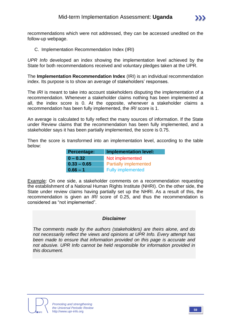

recommendations which were not addressed, they can be accessed unedited on the follow-up webpage.

C. Implementation Recommendation Index (IRI)

*UPR Info* developed an index showing the implementation level achieved by the State for both recommendations received and voluntary pledges taken at the UPR.

The **Implementation Recommendation Index** (IRI) is an individual recommendation index. Its purpose is to show an average of stakeholders' responses.

The *IRI* is meant to take into account stakeholders disputing the implementation of a recommendation. Whenever a stakeholder claims nothing has been implemented at all, the index score is 0. At the opposite, whenever a stakeholder claims a recommendation has been fully implemented, the *IRI* score is 1.

An average is calculated to fully reflect the many sources of information. If the State under Review claims that the recommendation has been fully implemented, and a stakeholder says it has been partially implemented, the score is 0.75.

Then the score is transformed into an implementation level, according to the table below:

| Percentage:   | <b>Implementation level:</b> |
|---------------|------------------------------|
| $0 - 0.32$    | Not implemented              |
| $0.33 - 0.65$ | <b>Partially implemented</b> |
| $0.66 - 1$    | <b>Fully implemented</b>     |

Example: On one side, a stakeholder comments on a recommendation requesting the establishment of a National Human Rights Institute (NHRI). On the other side, the State under review claims having partially set up the NHRI. As a result of this, the recommendation is given an *IRI* score of 0.25, and thus the recommendation is considered as "not implemented".

#### *Disclaimer*

*The comments made by the authors (stakeholders) are theirs alone, and do not necessarily reflect the views and opinions at UPR Info. Every attempt has been made to ensure that information provided on this page is accurate and not abusive. UPR Info cannot be held responsible for information provided in this document.*

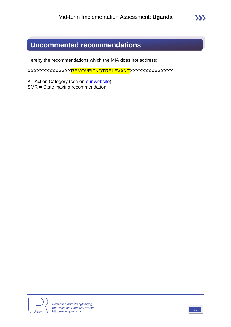# **Uncommented recommendations**

Hereby the recommendations which the MIA does not address:

XXXXXXXXXXXXXX<del>REMOVEIFNOTRELEVANT</del>XXXXXXXXXXXXXX

A= Action Category (see on [our website\)](http://www.upr-info.org/database/files/Database_Action_Category.pdf) SMR = State making recommendation